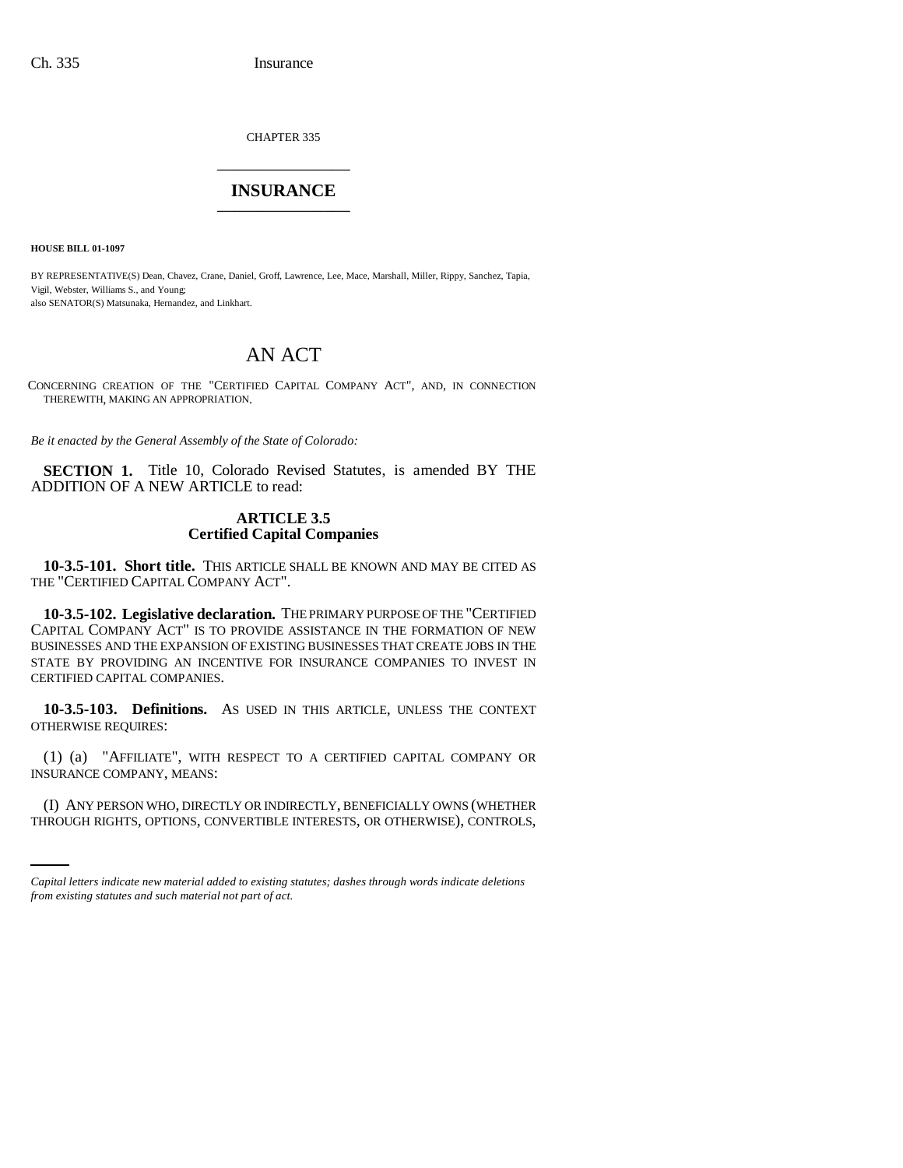CHAPTER 335 \_\_\_\_\_\_\_\_\_\_\_\_\_\_\_

# **INSURANCE** \_\_\_\_\_\_\_\_\_\_\_\_\_\_\_

**HOUSE BILL 01-1097**

BY REPRESENTATIVE(S) Dean, Chavez, Crane, Daniel, Groff, Lawrence, Lee, Mace, Marshall, Miller, Rippy, Sanchez, Tapia, Vigil, Webster, Williams S., and Young; also SENATOR(S) Matsunaka, Hernandez, and Linkhart.

# AN ACT

CONCERNING CREATION OF THE "CERTIFIED CAPITAL COMPANY ACT", AND, IN CONNECTION THEREWITH, MAKING AN APPROPRIATION.

*Be it enacted by the General Assembly of the State of Colorado:*

**SECTION 1.** Title 10, Colorado Revised Statutes, is amended BY THE ADDITION OF A NEW ARTICLE to read:

# **ARTICLE 3.5 Certified Capital Companies**

**10-3.5-101. Short title.** THIS ARTICLE SHALL BE KNOWN AND MAY BE CITED AS THE "CERTIFIED CAPITAL COMPANY ACT".

**10-3.5-102. Legislative declaration.** THE PRIMARY PURPOSE OF THE "CERTIFIED CAPITAL COMPANY ACT" IS TO PROVIDE ASSISTANCE IN THE FORMATION OF NEW BUSINESSES AND THE EXPANSION OF EXISTING BUSINESSES THAT CREATE JOBS IN THE STATE BY PROVIDING AN INCENTIVE FOR INSURANCE COMPANIES TO INVEST IN CERTIFIED CAPITAL COMPANIES.

**10-3.5-103. Definitions.** AS USED IN THIS ARTICLE, UNLESS THE CONTEXT OTHERWISE REQUIRES:

(1) (a) "AFFILIATE", WITH RESPECT TO A CERTIFIED CAPITAL COMPANY OR INSURANCE COMPANY, MEANS:

(I) ANY PERSON WHO, DIRECTLY OR INDIRECTLY, BENEFICIALLY OWNS (WHETHER THROUGH RIGHTS, OPTIONS, CONVERTIBLE INTERESTS, OR OTHERWISE), CONTROLS,

*Capital letters indicate new material added to existing statutes; dashes through words indicate deletions from existing statutes and such material not part of act.*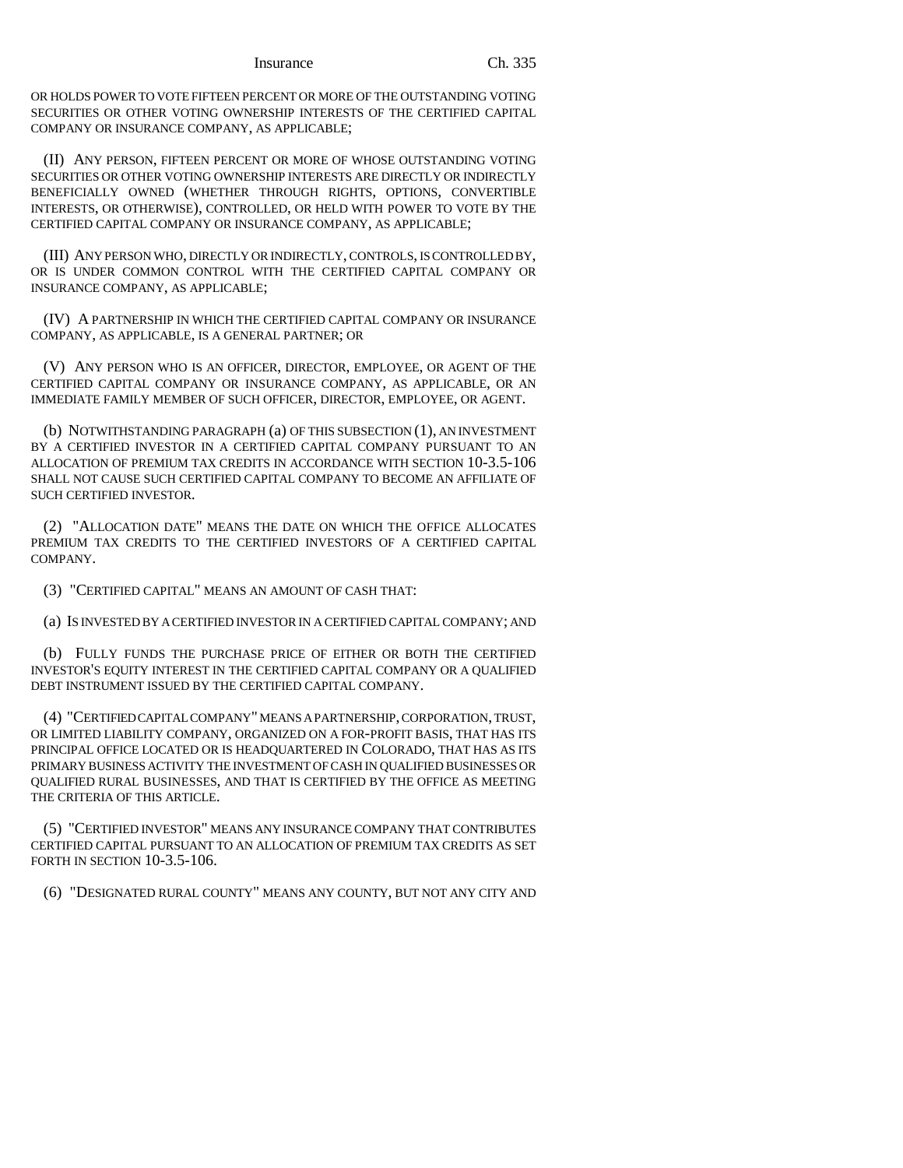OR HOLDS POWER TO VOTE FIFTEEN PERCENT OR MORE OF THE OUTSTANDING VOTING SECURITIES OR OTHER VOTING OWNERSHIP INTERESTS OF THE CERTIFIED CAPITAL COMPANY OR INSURANCE COMPANY, AS APPLICABLE;

(II) ANY PERSON, FIFTEEN PERCENT OR MORE OF WHOSE OUTSTANDING VOTING SECURITIES OR OTHER VOTING OWNERSHIP INTERESTS ARE DIRECTLY OR INDIRECTLY BENEFICIALLY OWNED (WHETHER THROUGH RIGHTS, OPTIONS, CONVERTIBLE INTERESTS, OR OTHERWISE), CONTROLLED, OR HELD WITH POWER TO VOTE BY THE CERTIFIED CAPITAL COMPANY OR INSURANCE COMPANY, AS APPLICABLE;

(III) ANY PERSON WHO, DIRECTLY OR INDIRECTLY, CONTROLS, IS CONTROLLED BY, OR IS UNDER COMMON CONTROL WITH THE CERTIFIED CAPITAL COMPANY OR INSURANCE COMPANY, AS APPLICABLE;

(IV) A PARTNERSHIP IN WHICH THE CERTIFIED CAPITAL COMPANY OR INSURANCE COMPANY, AS APPLICABLE, IS A GENERAL PARTNER; OR

(V) ANY PERSON WHO IS AN OFFICER, DIRECTOR, EMPLOYEE, OR AGENT OF THE CERTIFIED CAPITAL COMPANY OR INSURANCE COMPANY, AS APPLICABLE, OR AN IMMEDIATE FAMILY MEMBER OF SUCH OFFICER, DIRECTOR, EMPLOYEE, OR AGENT.

(b) NOTWITHSTANDING PARAGRAPH (a) OF THIS SUBSECTION (1), AN INVESTMENT BY A CERTIFIED INVESTOR IN A CERTIFIED CAPITAL COMPANY PURSUANT TO AN ALLOCATION OF PREMIUM TAX CREDITS IN ACCORDANCE WITH SECTION 10-3.5-106 SHALL NOT CAUSE SUCH CERTIFIED CAPITAL COMPANY TO BECOME AN AFFILIATE OF SUCH CERTIFIED INVESTOR.

(2) "ALLOCATION DATE" MEANS THE DATE ON WHICH THE OFFICE ALLOCATES PREMIUM TAX CREDITS TO THE CERTIFIED INVESTORS OF A CERTIFIED CAPITAL COMPANY.

(3) "CERTIFIED CAPITAL" MEANS AN AMOUNT OF CASH THAT:

(a) IS INVESTED BY A CERTIFIED INVESTOR IN A CERTIFIED CAPITAL COMPANY; AND

(b) FULLY FUNDS THE PURCHASE PRICE OF EITHER OR BOTH THE CERTIFIED INVESTOR'S EQUITY INTEREST IN THE CERTIFIED CAPITAL COMPANY OR A QUALIFIED DEBT INSTRUMENT ISSUED BY THE CERTIFIED CAPITAL COMPANY.

(4) "CERTIFIED CAPITAL COMPANY" MEANS A PARTNERSHIP, CORPORATION, TRUST, OR LIMITED LIABILITY COMPANY, ORGANIZED ON A FOR-PROFIT BASIS, THAT HAS ITS PRINCIPAL OFFICE LOCATED OR IS HEADQUARTERED IN COLORADO, THAT HAS AS ITS PRIMARY BUSINESS ACTIVITY THE INVESTMENT OF CASH IN QUALIFIED BUSINESSES OR QUALIFIED RURAL BUSINESSES, AND THAT IS CERTIFIED BY THE OFFICE AS MEETING THE CRITERIA OF THIS ARTICLE.

(5) "CERTIFIED INVESTOR" MEANS ANY INSURANCE COMPANY THAT CONTRIBUTES CERTIFIED CAPITAL PURSUANT TO AN ALLOCATION OF PREMIUM TAX CREDITS AS SET FORTH IN SECTION 10-3.5-106.

(6) "DESIGNATED RURAL COUNTY" MEANS ANY COUNTY, BUT NOT ANY CITY AND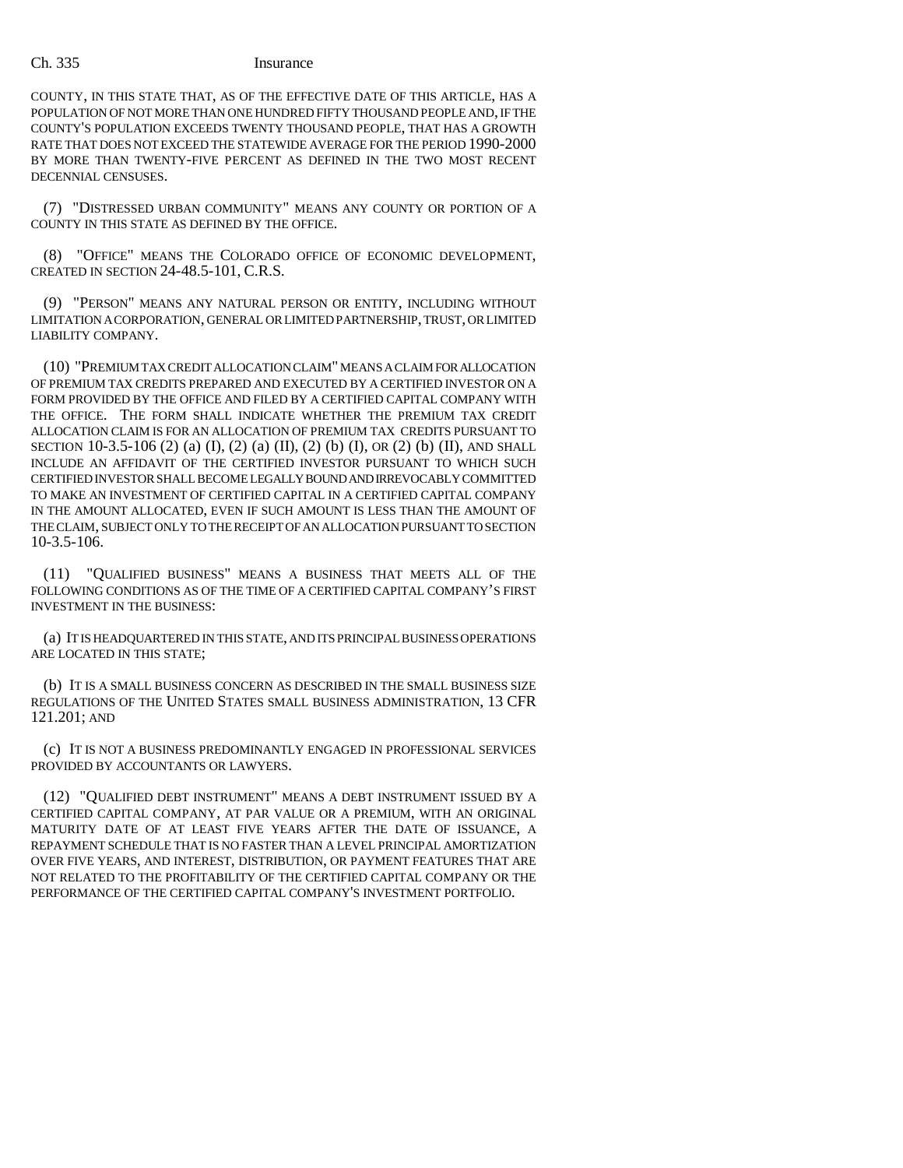COUNTY, IN THIS STATE THAT, AS OF THE EFFECTIVE DATE OF THIS ARTICLE, HAS A POPULATION OF NOT MORE THAN ONE HUNDRED FIFTY THOUSAND PEOPLE AND, IF THE COUNTY'S POPULATION EXCEEDS TWENTY THOUSAND PEOPLE, THAT HAS A GROWTH RATE THAT DOES NOT EXCEED THE STATEWIDE AVERAGE FOR THE PERIOD 1990-2000 BY MORE THAN TWENTY-FIVE PERCENT AS DEFINED IN THE TWO MOST RECENT DECENNIAL CENSUSES.

(7) "DISTRESSED URBAN COMMUNITY" MEANS ANY COUNTY OR PORTION OF A COUNTY IN THIS STATE AS DEFINED BY THE OFFICE.

(8) "OFFICE" MEANS THE COLORADO OFFICE OF ECONOMIC DEVELOPMENT, CREATED IN SECTION 24-48.5-101, C.R.S.

(9) "PERSON" MEANS ANY NATURAL PERSON OR ENTITY, INCLUDING WITHOUT LIMITATION A CORPORATION, GENERAL OR LIMITED PARTNERSHIP, TRUST, OR LIMITED LIABILITY COMPANY.

(10) "PREMIUM TAX CREDIT ALLOCATION CLAIM" MEANS A CLAIM FOR ALLOCATION OF PREMIUM TAX CREDITS PREPARED AND EXECUTED BY A CERTIFIED INVESTOR ON A FORM PROVIDED BY THE OFFICE AND FILED BY A CERTIFIED CAPITAL COMPANY WITH THE OFFICE. THE FORM SHALL INDICATE WHETHER THE PREMIUM TAX CREDIT ALLOCATION CLAIM IS FOR AN ALLOCATION OF PREMIUM TAX CREDITS PURSUANT TO SECTION 10-3.5-106 (2) (a) (I), (2) (a) (II), (2) (b) (I), OR (2) (b) (II), AND SHALL INCLUDE AN AFFIDAVIT OF THE CERTIFIED INVESTOR PURSUANT TO WHICH SUCH CERTIFIED INVESTOR SHALL BECOME LEGALLY BOUND AND IRREVOCABLY COMMITTED TO MAKE AN INVESTMENT OF CERTIFIED CAPITAL IN A CERTIFIED CAPITAL COMPANY IN THE AMOUNT ALLOCATED, EVEN IF SUCH AMOUNT IS LESS THAN THE AMOUNT OF THE CLAIM, SUBJECT ONLY TO THE RECEIPT OF AN ALLOCATION PURSUANT TO SECTION 10-3.5-106.

(11) "QUALIFIED BUSINESS" MEANS A BUSINESS THAT MEETS ALL OF THE FOLLOWING CONDITIONS AS OF THE TIME OF A CERTIFIED CAPITAL COMPANY'S FIRST INVESTMENT IN THE BUSINESS:

(a) IT IS HEADQUARTERED IN THIS STATE, AND ITS PRINCIPAL BUSINESS OPERATIONS ARE LOCATED IN THIS STATE;

(b) IT IS A SMALL BUSINESS CONCERN AS DESCRIBED IN THE SMALL BUSINESS SIZE REGULATIONS OF THE UNITED STATES SMALL BUSINESS ADMINISTRATION, 13 CFR 121.201; AND

(c) IT IS NOT A BUSINESS PREDOMINANTLY ENGAGED IN PROFESSIONAL SERVICES PROVIDED BY ACCOUNTANTS OR LAWYERS.

(12) "QUALIFIED DEBT INSTRUMENT" MEANS A DEBT INSTRUMENT ISSUED BY A CERTIFIED CAPITAL COMPANY, AT PAR VALUE OR A PREMIUM, WITH AN ORIGINAL MATURITY DATE OF AT LEAST FIVE YEARS AFTER THE DATE OF ISSUANCE, A REPAYMENT SCHEDULE THAT IS NO FASTER THAN A LEVEL PRINCIPAL AMORTIZATION OVER FIVE YEARS, AND INTEREST, DISTRIBUTION, OR PAYMENT FEATURES THAT ARE NOT RELATED TO THE PROFITABILITY OF THE CERTIFIED CAPITAL COMPANY OR THE PERFORMANCE OF THE CERTIFIED CAPITAL COMPANY'S INVESTMENT PORTFOLIO.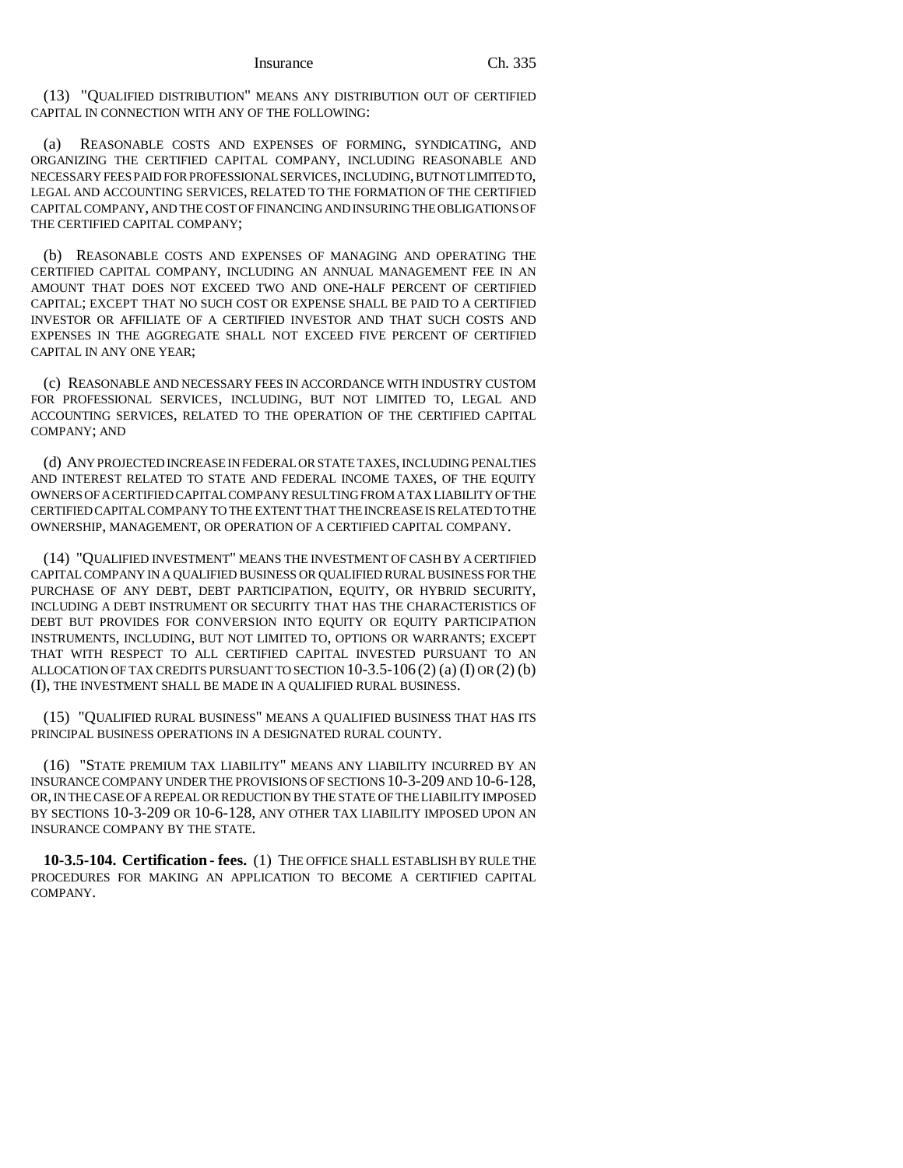(13) "QUALIFIED DISTRIBUTION" MEANS ANY DISTRIBUTION OUT OF CERTIFIED CAPITAL IN CONNECTION WITH ANY OF THE FOLLOWING:

(a) REASONABLE COSTS AND EXPENSES OF FORMING, SYNDICATING, AND ORGANIZING THE CERTIFIED CAPITAL COMPANY, INCLUDING REASONABLE AND NECESSARY FEES PAID FOR PROFESSIONAL SERVICES, INCLUDING, BUT NOT LIMITED TO, LEGAL AND ACCOUNTING SERVICES, RELATED TO THE FORMATION OF THE CERTIFIED CAPITAL COMPANY, AND THE COST OF FINANCING AND INSURING THE OBLIGATIONS OF THE CERTIFIED CAPITAL COMPANY;

(b) REASONABLE COSTS AND EXPENSES OF MANAGING AND OPERATING THE CERTIFIED CAPITAL COMPANY, INCLUDING AN ANNUAL MANAGEMENT FEE IN AN AMOUNT THAT DOES NOT EXCEED TWO AND ONE-HALF PERCENT OF CERTIFIED CAPITAL; EXCEPT THAT NO SUCH COST OR EXPENSE SHALL BE PAID TO A CERTIFIED INVESTOR OR AFFILIATE OF A CERTIFIED INVESTOR AND THAT SUCH COSTS AND EXPENSES IN THE AGGREGATE SHALL NOT EXCEED FIVE PERCENT OF CERTIFIED CAPITAL IN ANY ONE YEAR;

(c) REASONABLE AND NECESSARY FEES IN ACCORDANCE WITH INDUSTRY CUSTOM FOR PROFESSIONAL SERVICES, INCLUDING, BUT NOT LIMITED TO, LEGAL AND ACCOUNTING SERVICES, RELATED TO THE OPERATION OF THE CERTIFIED CAPITAL COMPANY; AND

(d) ANY PROJECTED INCREASE IN FEDERAL OR STATE TAXES, INCLUDING PENALTIES AND INTEREST RELATED TO STATE AND FEDERAL INCOME TAXES, OF THE EQUITY OWNERS OF A CERTIFIED CAPITAL COMPANY RESULTING FROM A TAX LIABILITY OF THE CERTIFIED CAPITAL COMPANY TO THE EXTENT THAT THE INCREASE IS RELATED TO THE OWNERSHIP, MANAGEMENT, OR OPERATION OF A CERTIFIED CAPITAL COMPANY.

(14) "QUALIFIED INVESTMENT" MEANS THE INVESTMENT OF CASH BY A CERTIFIED CAPITAL COMPANY IN A QUALIFIED BUSINESS OR QUALIFIED RURAL BUSINESS FOR THE PURCHASE OF ANY DEBT, DEBT PARTICIPATION, EQUITY, OR HYBRID SECURITY, INCLUDING A DEBT INSTRUMENT OR SECURITY THAT HAS THE CHARACTERISTICS OF DEBT BUT PROVIDES FOR CONVERSION INTO EQUITY OR EQUITY PARTICIPATION INSTRUMENTS, INCLUDING, BUT NOT LIMITED TO, OPTIONS OR WARRANTS; EXCEPT THAT WITH RESPECT TO ALL CERTIFIED CAPITAL INVESTED PURSUANT TO AN ALLOCATION OF TAX CREDITS PURSUANT TO SECTION 10-3.5-106 (2) (a) (I) OR (2) (b) (I), THE INVESTMENT SHALL BE MADE IN A QUALIFIED RURAL BUSINESS.

(15) "QUALIFIED RURAL BUSINESS" MEANS A QUALIFIED BUSINESS THAT HAS ITS PRINCIPAL BUSINESS OPERATIONS IN A DESIGNATED RURAL COUNTY.

(16) "STATE PREMIUM TAX LIABILITY" MEANS ANY LIABILITY INCURRED BY AN INSURANCE COMPANY UNDER THE PROVISIONS OF SECTIONS 10-3-209 AND 10-6-128, OR, IN THE CASE OF A REPEAL OR REDUCTION BY THE STATE OF THE LIABILITY IMPOSED BY SECTIONS 10-3-209 OR 10-6-128, ANY OTHER TAX LIABILITY IMPOSED UPON AN INSURANCE COMPANY BY THE STATE.

**10-3.5-104. Certification - fees.** (1) THE OFFICE SHALL ESTABLISH BY RULE THE PROCEDURES FOR MAKING AN APPLICATION TO BECOME A CERTIFIED CAPITAL COMPANY.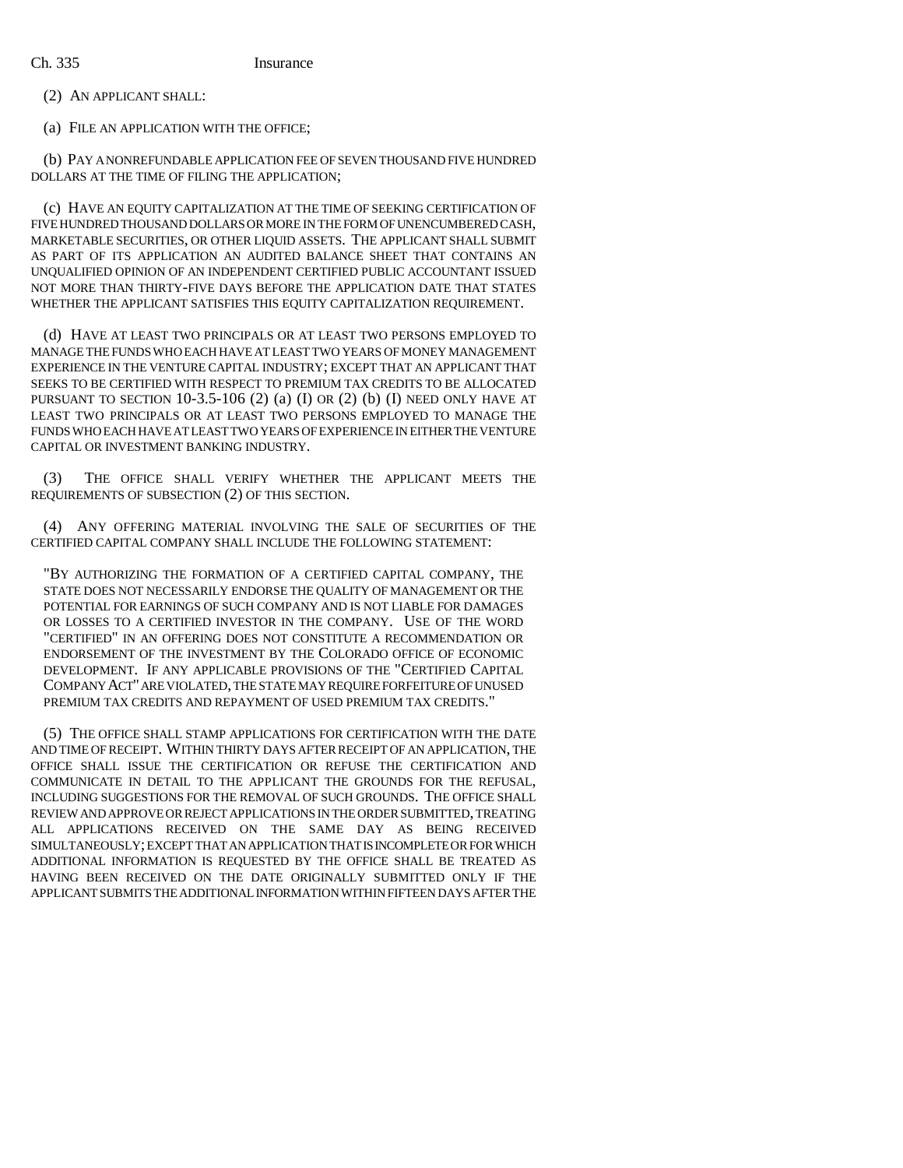(2) AN APPLICANT SHALL:

(a) FILE AN APPLICATION WITH THE OFFICE;

(b) PAY A NONREFUNDABLE APPLICATION FEE OF SEVEN THOUSAND FIVE HUNDRED DOLLARS AT THE TIME OF FILING THE APPLICATION;

(c) HAVE AN EQUITY CAPITALIZATION AT THE TIME OF SEEKING CERTIFICATION OF FIVE HUNDRED THOUSAND DOLLARS OR MORE IN THE FORM OF UNENCUMBERED CASH, MARKETABLE SECURITIES, OR OTHER LIQUID ASSETS. THE APPLICANT SHALL SUBMIT AS PART OF ITS APPLICATION AN AUDITED BALANCE SHEET THAT CONTAINS AN UNQUALIFIED OPINION OF AN INDEPENDENT CERTIFIED PUBLIC ACCOUNTANT ISSUED NOT MORE THAN THIRTY-FIVE DAYS BEFORE THE APPLICATION DATE THAT STATES WHETHER THE APPLICANT SATISFIES THIS EQUITY CAPITALIZATION REQUIREMENT.

(d) HAVE AT LEAST TWO PRINCIPALS OR AT LEAST TWO PERSONS EMPLOYED TO MANAGE THE FUNDS WHO EACH HAVE AT LEAST TWO YEARS OF MONEY MANAGEMENT EXPERIENCE IN THE VENTURE CAPITAL INDUSTRY; EXCEPT THAT AN APPLICANT THAT SEEKS TO BE CERTIFIED WITH RESPECT TO PREMIUM TAX CREDITS TO BE ALLOCATED PURSUANT TO SECTION  $10-3.5-106$  (2) (a) (I) OR (2) (b) (I) NEED ONLY HAVE AT LEAST TWO PRINCIPALS OR AT LEAST TWO PERSONS EMPLOYED TO MANAGE THE FUNDS WHO EACH HAVE AT LEAST TWO YEARS OF EXPERIENCE IN EITHER THE VENTURE CAPITAL OR INVESTMENT BANKING INDUSTRY.

(3) THE OFFICE SHALL VERIFY WHETHER THE APPLICANT MEETS THE REQUIREMENTS OF SUBSECTION (2) OF THIS SECTION.

(4) ANY OFFERING MATERIAL INVOLVING THE SALE OF SECURITIES OF THE CERTIFIED CAPITAL COMPANY SHALL INCLUDE THE FOLLOWING STATEMENT:

"BY AUTHORIZING THE FORMATION OF A CERTIFIED CAPITAL COMPANY, THE STATE DOES NOT NECESSARILY ENDORSE THE QUALITY OF MANAGEMENT OR THE POTENTIAL FOR EARNINGS OF SUCH COMPANY AND IS NOT LIABLE FOR DAMAGES OR LOSSES TO A CERTIFIED INVESTOR IN THE COMPANY. USE OF THE WORD "CERTIFIED" IN AN OFFERING DOES NOT CONSTITUTE A RECOMMENDATION OR ENDORSEMENT OF THE INVESTMENT BY THE COLORADO OFFICE OF ECONOMIC DEVELOPMENT. IF ANY APPLICABLE PROVISIONS OF THE "CERTIFIED CAPITAL COMPANY ACT" ARE VIOLATED, THE STATE MAY REQUIRE FORFEITURE OF UNUSED PREMIUM TAX CREDITS AND REPAYMENT OF USED PREMIUM TAX CREDITS."

(5) THE OFFICE SHALL STAMP APPLICATIONS FOR CERTIFICATION WITH THE DATE AND TIME OF RECEIPT. WITHIN THIRTY DAYS AFTER RECEIPT OF AN APPLICATION, THE OFFICE SHALL ISSUE THE CERTIFICATION OR REFUSE THE CERTIFICATION AND COMMUNICATE IN DETAIL TO THE APPLICANT THE GROUNDS FOR THE REFUSAL, INCLUDING SUGGESTIONS FOR THE REMOVAL OF SUCH GROUNDS. THE OFFICE SHALL REVIEW AND APPROVE OR REJECT APPLICATIONS IN THE ORDER SUBMITTED, TREATING ALL APPLICATIONS RECEIVED ON THE SAME DAY AS BEING RECEIVED SIMULTANEOUSLY; EXCEPT THAT AN APPLICATION THAT IS INCOMPLETE OR FOR WHICH ADDITIONAL INFORMATION IS REQUESTED BY THE OFFICE SHALL BE TREATED AS HAVING BEEN RECEIVED ON THE DATE ORIGINALLY SUBMITTED ONLY IF THE APPLICANT SUBMITS THE ADDITIONAL INFORMATION WITHIN FIFTEEN DAYS AFTER THE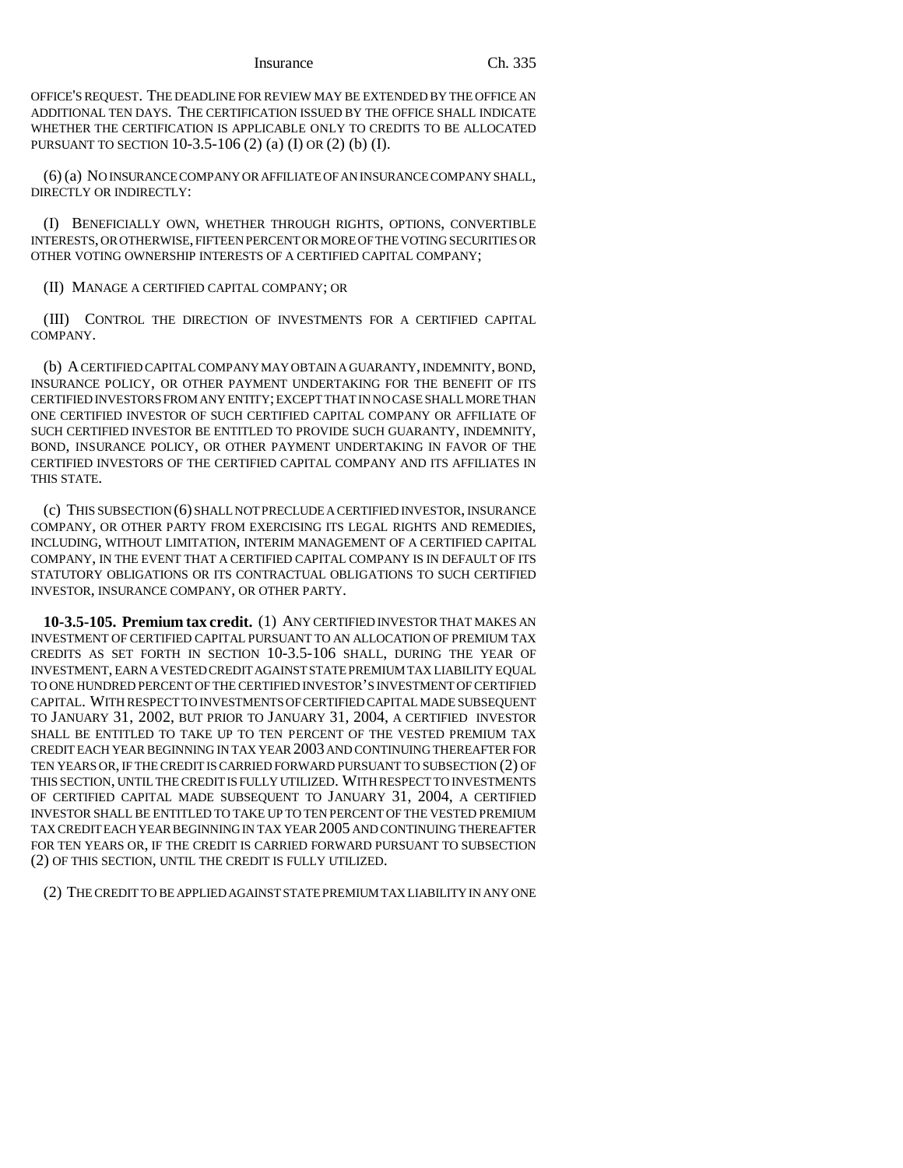OFFICE'S REQUEST. THE DEADLINE FOR REVIEW MAY BE EXTENDED BY THE OFFICE AN ADDITIONAL TEN DAYS. THE CERTIFICATION ISSUED BY THE OFFICE SHALL INDICATE WHETHER THE CERTIFICATION IS APPLICABLE ONLY TO CREDITS TO BE ALLOCATED PURSUANT TO SECTION 10-3.5-106 (2) (a) (I) OR (2) (b) (I).

(6) (a) NO INSURANCE COMPANY OR AFFILIATE OF AN INSURANCE COMPANY SHALL, DIRECTLY OR INDIRECTLY:

(I) BENEFICIALLY OWN, WHETHER THROUGH RIGHTS, OPTIONS, CONVERTIBLE INTERESTS, OR OTHERWISE, FIFTEEN PERCENT OR MORE OF THE VOTING SECURITIES OR OTHER VOTING OWNERSHIP INTERESTS OF A CERTIFIED CAPITAL COMPANY;

(II) MANAGE A CERTIFIED CAPITAL COMPANY; OR

(III) CONTROL THE DIRECTION OF INVESTMENTS FOR A CERTIFIED CAPITAL COMPANY.

(b) A CERTIFIED CAPITAL COMPANY MAY OBTAIN A GUARANTY, INDEMNITY, BOND, INSURANCE POLICY, OR OTHER PAYMENT UNDERTAKING FOR THE BENEFIT OF ITS CERTIFIED INVESTORS FROM ANY ENTITY; EXCEPT THAT IN NO CASE SHALL MORE THAN ONE CERTIFIED INVESTOR OF SUCH CERTIFIED CAPITAL COMPANY OR AFFILIATE OF SUCH CERTIFIED INVESTOR BE ENTITLED TO PROVIDE SUCH GUARANTY, INDEMNITY, BOND, INSURANCE POLICY, OR OTHER PAYMENT UNDERTAKING IN FAVOR OF THE CERTIFIED INVESTORS OF THE CERTIFIED CAPITAL COMPANY AND ITS AFFILIATES IN THIS STATE.

(c) THIS SUBSECTION (6) SHALL NOT PRECLUDE A CERTIFIED INVESTOR, INSURANCE COMPANY, OR OTHER PARTY FROM EXERCISING ITS LEGAL RIGHTS AND REMEDIES, INCLUDING, WITHOUT LIMITATION, INTERIM MANAGEMENT OF A CERTIFIED CAPITAL COMPANY, IN THE EVENT THAT A CERTIFIED CAPITAL COMPANY IS IN DEFAULT OF ITS STATUTORY OBLIGATIONS OR ITS CONTRACTUAL OBLIGATIONS TO SUCH CERTIFIED INVESTOR, INSURANCE COMPANY, OR OTHER PARTY.

**10-3.5-105. Premium tax credit.** (1) ANY CERTIFIED INVESTOR THAT MAKES AN INVESTMENT OF CERTIFIED CAPITAL PURSUANT TO AN ALLOCATION OF PREMIUM TAX CREDITS AS SET FORTH IN SECTION 10-3.5-106 SHALL, DURING THE YEAR OF INVESTMENT, EARN A VESTED CREDIT AGAINST STATE PREMIUM TAX LIABILITY EQUAL TO ONE HUNDRED PERCENT OF THE CERTIFIED INVESTOR'S INVESTMENT OF CERTIFIED CAPITAL. WITH RESPECT TO INVESTMENTS OF CERTIFIED CAPITAL MADE SUBSEQUENT TO JANUARY 31, 2002, BUT PRIOR TO JANUARY 31, 2004, A CERTIFIED INVESTOR SHALL BE ENTITLED TO TAKE UP TO TEN PERCENT OF THE VESTED PREMIUM TAX CREDIT EACH YEAR BEGINNING IN TAX YEAR 2003 AND CONTINUING THEREAFTER FOR TEN YEARS OR, IF THE CREDIT IS CARRIED FORWARD PURSUANT TO SUBSECTION (2) OF THIS SECTION, UNTIL THE CREDIT IS FULLY UTILIZED. WITH RESPECT TO INVESTMENTS OF CERTIFIED CAPITAL MADE SUBSEQUENT TO JANUARY 31, 2004, A CERTIFIED INVESTOR SHALL BE ENTITLED TO TAKE UP TO TEN PERCENT OF THE VESTED PREMIUM TAX CREDIT EACH YEAR BEGINNING IN TAX YEAR 2005 AND CONTINUING THEREAFTER FOR TEN YEARS OR, IF THE CREDIT IS CARRIED FORWARD PURSUANT TO SUBSECTION (2) OF THIS SECTION, UNTIL THE CREDIT IS FULLY UTILIZED.

(2) THE CREDIT TO BE APPLIED AGAINST STATE PREMIUM TAX LIABILITY IN ANY ONE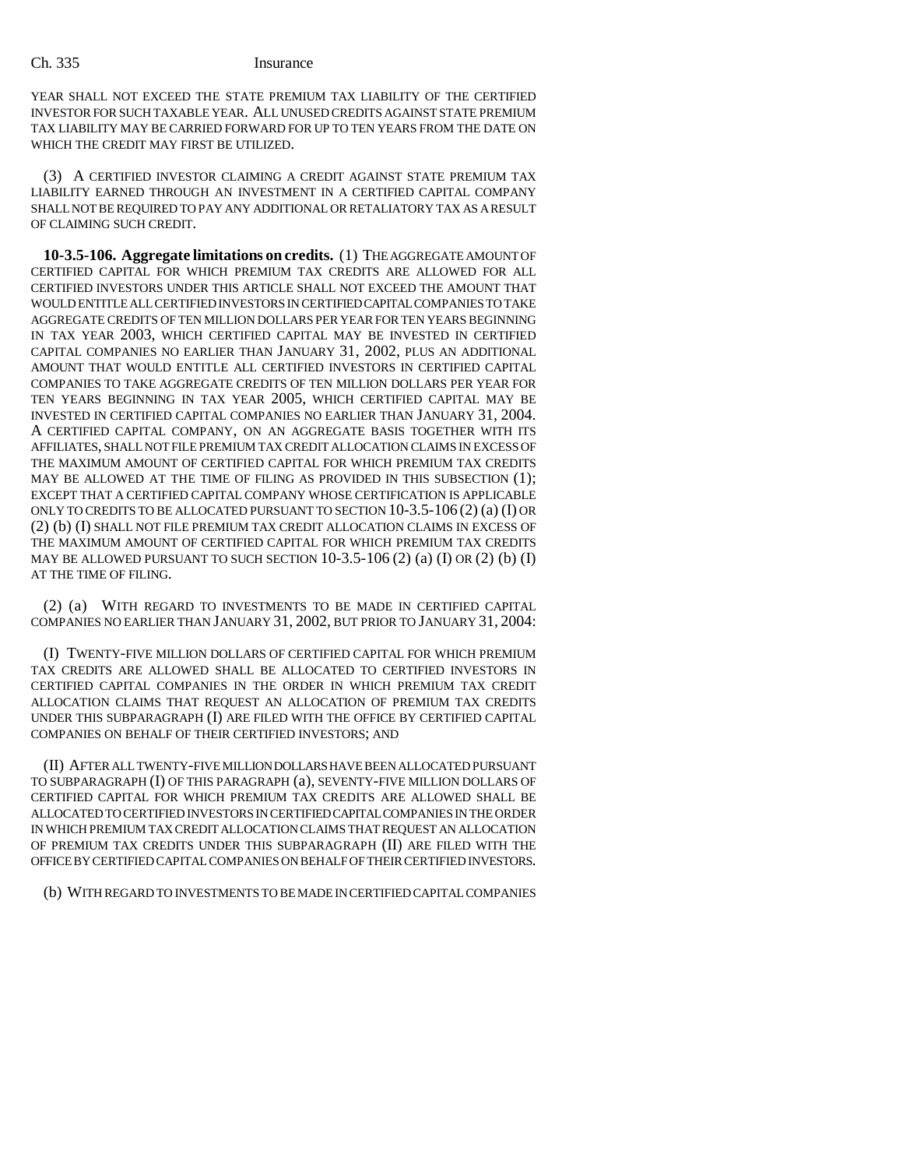YEAR SHALL NOT EXCEED THE STATE PREMIUM TAX LIABILITY OF THE CERTIFIED INVESTOR FOR SUCH TAXABLE YEAR. ALL UNUSED CREDITS AGAINST STATE PREMIUM TAX LIABILITY MAY BE CARRIED FORWARD FOR UP TO TEN YEARS FROM THE DATE ON WHICH THE CREDIT MAY FIRST BE UTILIZED.

(3) A CERTIFIED INVESTOR CLAIMING A CREDIT AGAINST STATE PREMIUM TAX LIABILITY EARNED THROUGH AN INVESTMENT IN A CERTIFIED CAPITAL COMPANY SHALL NOT BE REQUIRED TO PAY ANY ADDITIONAL OR RETALIATORY TAX AS A RESULT OF CLAIMING SUCH CREDIT.

**10-3.5-106. Aggregate limitations on credits.** (1) THE AGGREGATE AMOUNT OF CERTIFIED CAPITAL FOR WHICH PREMIUM TAX CREDITS ARE ALLOWED FOR ALL CERTIFIED INVESTORS UNDER THIS ARTICLE SHALL NOT EXCEED THE AMOUNT THAT WOULD ENTITLE ALL CERTIFIED INVESTORS IN CERTIFIED CAPITAL COMPANIES TO TAKE AGGREGATE CREDITS OF TEN MILLION DOLLARS PER YEAR FOR TEN YEARS BEGINNING IN TAX YEAR 2003, WHICH CERTIFIED CAPITAL MAY BE INVESTED IN CERTIFIED CAPITAL COMPANIES NO EARLIER THAN JANUARY 31, 2002, PLUS AN ADDITIONAL AMOUNT THAT WOULD ENTITLE ALL CERTIFIED INVESTORS IN CERTIFIED CAPITAL COMPANIES TO TAKE AGGREGATE CREDITS OF TEN MILLION DOLLARS PER YEAR FOR TEN YEARS BEGINNING IN TAX YEAR 2005, WHICH CERTIFIED CAPITAL MAY BE INVESTED IN CERTIFIED CAPITAL COMPANIES NO EARLIER THAN JANUARY 31, 2004. A CERTIFIED CAPITAL COMPANY, ON AN AGGREGATE BASIS TOGETHER WITH ITS AFFILIATES, SHALL NOT FILE PREMIUM TAX CREDIT ALLOCATION CLAIMS IN EXCESS OF THE MAXIMUM AMOUNT OF CERTIFIED CAPITAL FOR WHICH PREMIUM TAX CREDITS MAY BE ALLOWED AT THE TIME OF FILING AS PROVIDED IN THIS SUBSECTION (1); EXCEPT THAT A CERTIFIED CAPITAL COMPANY WHOSE CERTIFICATION IS APPLICABLE ONLY TO CREDITS TO BE ALLOCATED PURSUANT TO SECTION 10-3.5-106 (2) (a) (I) OR (2) (b) (I) SHALL NOT FILE PREMIUM TAX CREDIT ALLOCATION CLAIMS IN EXCESS OF THE MAXIMUM AMOUNT OF CERTIFIED CAPITAL FOR WHICH PREMIUM TAX CREDITS MAY BE ALLOWED PURSUANT TO SUCH SECTION 10-3.5-106 (2) (a) (I) OR (2) (b) (I) AT THE TIME OF FILING.

(2) (a) WITH REGARD TO INVESTMENTS TO BE MADE IN CERTIFIED CAPITAL COMPANIES NO EARLIER THAN JANUARY 31, 2002, BUT PRIOR TO JANUARY 31, 2004:

(I) TWENTY-FIVE MILLION DOLLARS OF CERTIFIED CAPITAL FOR WHICH PREMIUM TAX CREDITS ARE ALLOWED SHALL BE ALLOCATED TO CERTIFIED INVESTORS IN CERTIFIED CAPITAL COMPANIES IN THE ORDER IN WHICH PREMIUM TAX CREDIT ALLOCATION CLAIMS THAT REQUEST AN ALLOCATION OF PREMIUM TAX CREDITS UNDER THIS SUBPARAGRAPH (I) ARE FILED WITH THE OFFICE BY CERTIFIED CAPITAL COMPANIES ON BEHALF OF THEIR CERTIFIED INVESTORS; AND

(II) AFTER ALL TWENTY-FIVE MILLION DOLLARS HAVE BEEN ALLOCATED PURSUANT TO SUBPARAGRAPH (I) OF THIS PARAGRAPH (a), SEVENTY-FIVE MILLION DOLLARS OF CERTIFIED CAPITAL FOR WHICH PREMIUM TAX CREDITS ARE ALLOWED SHALL BE ALLOCATED TO CERTIFIED INVESTORS IN CERTIFIED CAPITAL COMPANIES IN THE ORDER IN WHICH PREMIUM TAX CREDIT ALLOCATION CLAIMS THAT REQUEST AN ALLOCATION OF PREMIUM TAX CREDITS UNDER THIS SUBPARAGRAPH (II) ARE FILED WITH THE OFFICE BY CERTIFIED CAPITAL COMPANIES ON BEHALF OF THEIR CERTIFIED INVESTORS.

(b) WITH REGARD TO INVESTMENTS TO BE MADE IN CERTIFIED CAPITAL COMPANIES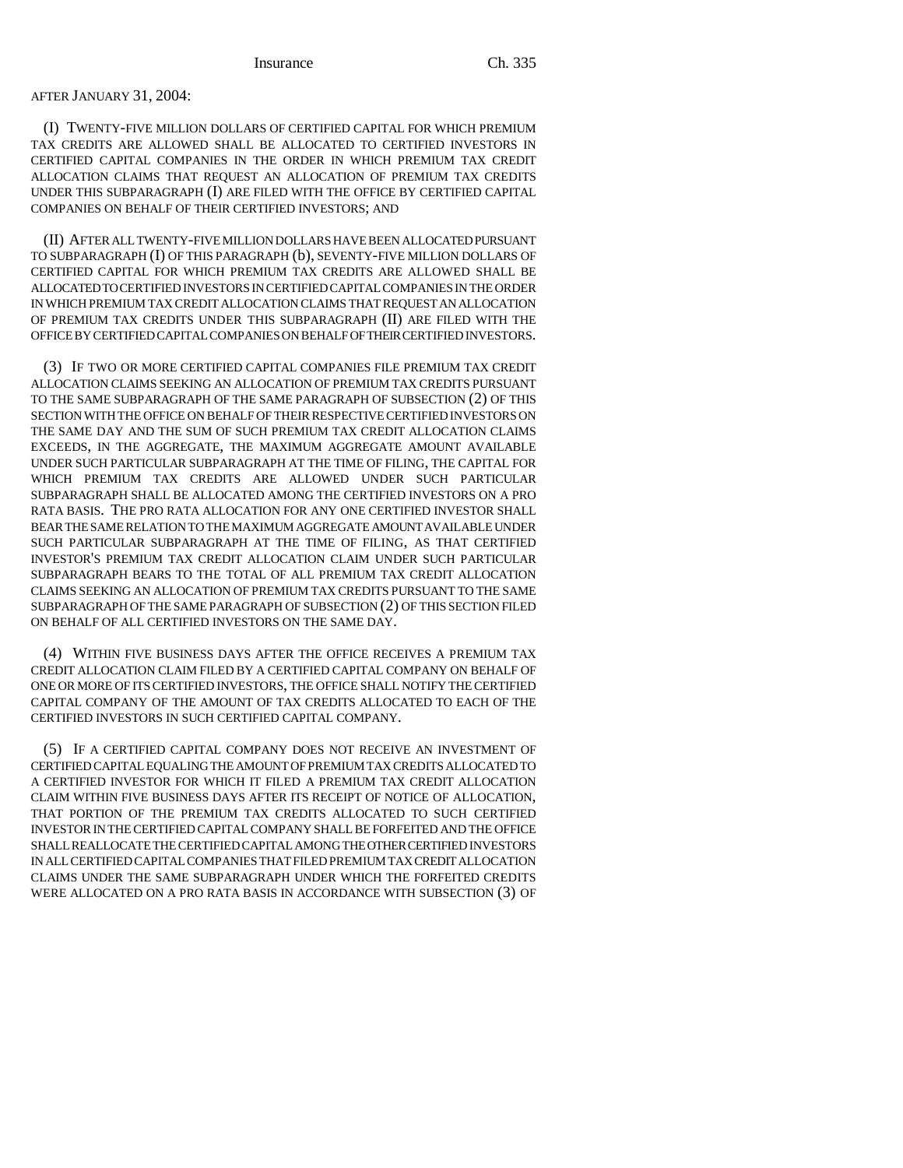### AFTER JANUARY 31, 2004:

(I) TWENTY-FIVE MILLION DOLLARS OF CERTIFIED CAPITAL FOR WHICH PREMIUM TAX CREDITS ARE ALLOWED SHALL BE ALLOCATED TO CERTIFIED INVESTORS IN CERTIFIED CAPITAL COMPANIES IN THE ORDER IN WHICH PREMIUM TAX CREDIT ALLOCATION CLAIMS THAT REQUEST AN ALLOCATION OF PREMIUM TAX CREDITS UNDER THIS SUBPARAGRAPH (I) ARE FILED WITH THE OFFICE BY CERTIFIED CAPITAL COMPANIES ON BEHALF OF THEIR CERTIFIED INVESTORS; AND

(II) AFTER ALL TWENTY-FIVE MILLION DOLLARS HAVE BEEN ALLOCATED PURSUANT TO SUBPARAGRAPH (I) OF THIS PARAGRAPH (b), SEVENTY-FIVE MILLION DOLLARS OF CERTIFIED CAPITAL FOR WHICH PREMIUM TAX CREDITS ARE ALLOWED SHALL BE ALLOCATED TO CERTIFIED INVESTORS IN CERTIFIED CAPITAL COMPANIES IN THE ORDER IN WHICH PREMIUM TAX CREDIT ALLOCATION CLAIMS THAT REQUEST AN ALLOCATION OF PREMIUM TAX CREDITS UNDER THIS SUBPARAGRAPH (II) ARE FILED WITH THE OFFICE BY CERTIFIED CAPITAL COMPANIES ON BEHALF OF THEIR CERTIFIED INVESTORS.

(3) IF TWO OR MORE CERTIFIED CAPITAL COMPANIES FILE PREMIUM TAX CREDIT ALLOCATION CLAIMS SEEKING AN ALLOCATION OF PREMIUM TAX CREDITS PURSUANT TO THE SAME SUBPARAGRAPH OF THE SAME PARAGRAPH OF SUBSECTION (2) OF THIS SECTION WITH THE OFFICE ON BEHALF OF THEIR RESPECTIVE CERTIFIED INVESTORS ON THE SAME DAY AND THE SUM OF SUCH PREMIUM TAX CREDIT ALLOCATION CLAIMS EXCEEDS, IN THE AGGREGATE, THE MAXIMUM AGGREGATE AMOUNT AVAILABLE UNDER SUCH PARTICULAR SUBPARAGRAPH AT THE TIME OF FILING, THE CAPITAL FOR WHICH PREMIUM TAX CREDITS ARE ALLOWED UNDER SUCH PARTICULAR SUBPARAGRAPH SHALL BE ALLOCATED AMONG THE CERTIFIED INVESTORS ON A PRO RATA BASIS. THE PRO RATA ALLOCATION FOR ANY ONE CERTIFIED INVESTOR SHALL BEAR THE SAME RELATION TO THE MAXIMUM AGGREGATE AMOUNT AVAILABLE UNDER SUCH PARTICULAR SUBPARAGRAPH AT THE TIME OF FILING, AS THAT CERTIFIED INVESTOR'S PREMIUM TAX CREDIT ALLOCATION CLAIM UNDER SUCH PARTICULAR SUBPARAGRAPH BEARS TO THE TOTAL OF ALL PREMIUM TAX CREDIT ALLOCATION CLAIMS SEEKING AN ALLOCATION OF PREMIUM TAX CREDITS PURSUANT TO THE SAME SUBPARAGRAPH OF THE SAME PARAGRAPH OF SUBSECTION (2) OF THIS SECTION FILED ON BEHALF OF ALL CERTIFIED INVESTORS ON THE SAME DAY.

(4) WITHIN FIVE BUSINESS DAYS AFTER THE OFFICE RECEIVES A PREMIUM TAX CREDIT ALLOCATION CLAIM FILED BY A CERTIFIED CAPITAL COMPANY ON BEHALF OF ONE OR MORE OF ITS CERTIFIED INVESTORS, THE OFFICE SHALL NOTIFY THE CERTIFIED CAPITAL COMPANY OF THE AMOUNT OF TAX CREDITS ALLOCATED TO EACH OF THE CERTIFIED INVESTORS IN SUCH CERTIFIED CAPITAL COMPANY.

(5) IF A CERTIFIED CAPITAL COMPANY DOES NOT RECEIVE AN INVESTMENT OF CERTIFIED CAPITAL EQUALING THE AMOUNT OF PREMIUM TAX CREDITS ALLOCATED TO A CERTIFIED INVESTOR FOR WHICH IT FILED A PREMIUM TAX CREDIT ALLOCATION CLAIM WITHIN FIVE BUSINESS DAYS AFTER ITS RECEIPT OF NOTICE OF ALLOCATION, THAT PORTION OF THE PREMIUM TAX CREDITS ALLOCATED TO SUCH CERTIFIED INVESTOR IN THE CERTIFIED CAPITAL COMPANY SHALL BE FORFEITED AND THE OFFICE SHALL REALLOCATE THE CERTIFIED CAPITAL AMONG THE OTHER CERTIFIED INVESTORS IN ALL CERTIFIED CAPITAL COMPANIES THAT FILED PREMIUM TAX CREDIT ALLOCATION CLAIMS UNDER THE SAME SUBPARAGRAPH UNDER WHICH THE FORFEITED CREDITS WERE ALLOCATED ON A PRO RATA BASIS IN ACCORDANCE WITH SUBSECTION (3) OF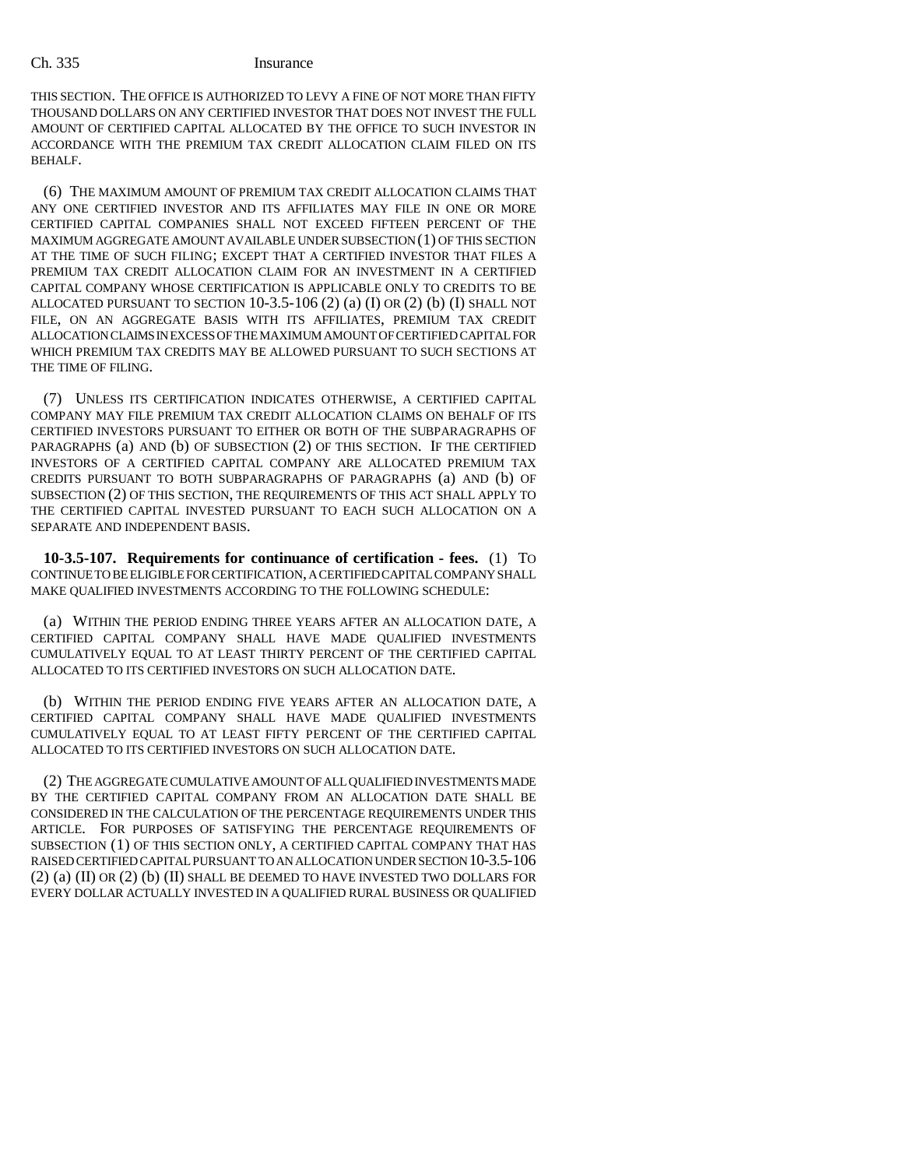THIS SECTION. THE OFFICE IS AUTHORIZED TO LEVY A FINE OF NOT MORE THAN FIFTY THOUSAND DOLLARS ON ANY CERTIFIED INVESTOR THAT DOES NOT INVEST THE FULL AMOUNT OF CERTIFIED CAPITAL ALLOCATED BY THE OFFICE TO SUCH INVESTOR IN ACCORDANCE WITH THE PREMIUM TAX CREDIT ALLOCATION CLAIM FILED ON ITS BEHALF.

(6) THE MAXIMUM AMOUNT OF PREMIUM TAX CREDIT ALLOCATION CLAIMS THAT ANY ONE CERTIFIED INVESTOR AND ITS AFFILIATES MAY FILE IN ONE OR MORE CERTIFIED CAPITAL COMPANIES SHALL NOT EXCEED FIFTEEN PERCENT OF THE MAXIMUM AGGREGATE AMOUNT AVAILABLE UNDER SUBSECTION (1) OF THIS SECTION AT THE TIME OF SUCH FILING; EXCEPT THAT A CERTIFIED INVESTOR THAT FILES A PREMIUM TAX CREDIT ALLOCATION CLAIM FOR AN INVESTMENT IN A CERTIFIED CAPITAL COMPANY WHOSE CERTIFICATION IS APPLICABLE ONLY TO CREDITS TO BE ALLOCATED PURSUANT TO SECTION  $10-3.5-106(2)$  (a) (I) OR  $(2)$  (b) (I) SHALL NOT FILE, ON AN AGGREGATE BASIS WITH ITS AFFILIATES, PREMIUM TAX CREDIT ALLOCATION CLAIMS IN EXCESS OF THE MAXIMUM AMOUNT OF CERTIFIED CAPITAL FOR WHICH PREMIUM TAX CREDITS MAY BE ALLOWED PURSUANT TO SUCH SECTIONS AT THE TIME OF FILING.

(7) UNLESS ITS CERTIFICATION INDICATES OTHERWISE, A CERTIFIED CAPITAL COMPANY MAY FILE PREMIUM TAX CREDIT ALLOCATION CLAIMS ON BEHALF OF ITS CERTIFIED INVESTORS PURSUANT TO EITHER OR BOTH OF THE SUBPARAGRAPHS OF PARAGRAPHS (a) AND (b) OF SUBSECTION (2) OF THIS SECTION. IF THE CERTIFIED INVESTORS OF A CERTIFIED CAPITAL COMPANY ARE ALLOCATED PREMIUM TAX CREDITS PURSUANT TO BOTH SUBPARAGRAPHS OF PARAGRAPHS (a) AND (b) OF SUBSECTION (2) OF THIS SECTION, THE REQUIREMENTS OF THIS ACT SHALL APPLY TO THE CERTIFIED CAPITAL INVESTED PURSUANT TO EACH SUCH ALLOCATION ON A SEPARATE AND INDEPENDENT BASIS.

**10-3.5-107. Requirements for continuance of certification - fees.** (1) TO CONTINUE TO BE ELIGIBLE FOR CERTIFICATION, A CERTIFIED CAPITAL COMPANY SHALL MAKE QUALIFIED INVESTMENTS ACCORDING TO THE FOLLOWING SCHEDULE:

(a) WITHIN THE PERIOD ENDING THREE YEARS AFTER AN ALLOCATION DATE, A CERTIFIED CAPITAL COMPANY SHALL HAVE MADE QUALIFIED INVESTMENTS CUMULATIVELY EQUAL TO AT LEAST THIRTY PERCENT OF THE CERTIFIED CAPITAL ALLOCATED TO ITS CERTIFIED INVESTORS ON SUCH ALLOCATION DATE.

(b) WITHIN THE PERIOD ENDING FIVE YEARS AFTER AN ALLOCATION DATE, A CERTIFIED CAPITAL COMPANY SHALL HAVE MADE QUALIFIED INVESTMENTS CUMULATIVELY EQUAL TO AT LEAST FIFTY PERCENT OF THE CERTIFIED CAPITAL ALLOCATED TO ITS CERTIFIED INVESTORS ON SUCH ALLOCATION DATE.

(2) THE AGGREGATE CUMULATIVE AMOUNT OF ALL QUALIFIED INVESTMENTS MADE BY THE CERTIFIED CAPITAL COMPANY FROM AN ALLOCATION DATE SHALL BE CONSIDERED IN THE CALCULATION OF THE PERCENTAGE REQUIREMENTS UNDER THIS ARTICLE. FOR PURPOSES OF SATISFYING THE PERCENTAGE REQUIREMENTS OF SUBSECTION (1) OF THIS SECTION ONLY, A CERTIFIED CAPITAL COMPANY THAT HAS RAISED CERTIFIED CAPITAL PURSUANT TO AN ALLOCATION UNDER SECTION 10-3.5-106 (2) (a) (II) OR (2) (b) (II) SHALL BE DEEMED TO HAVE INVESTED TWO DOLLARS FOR EVERY DOLLAR ACTUALLY INVESTED IN A QUALIFIED RURAL BUSINESS OR QUALIFIED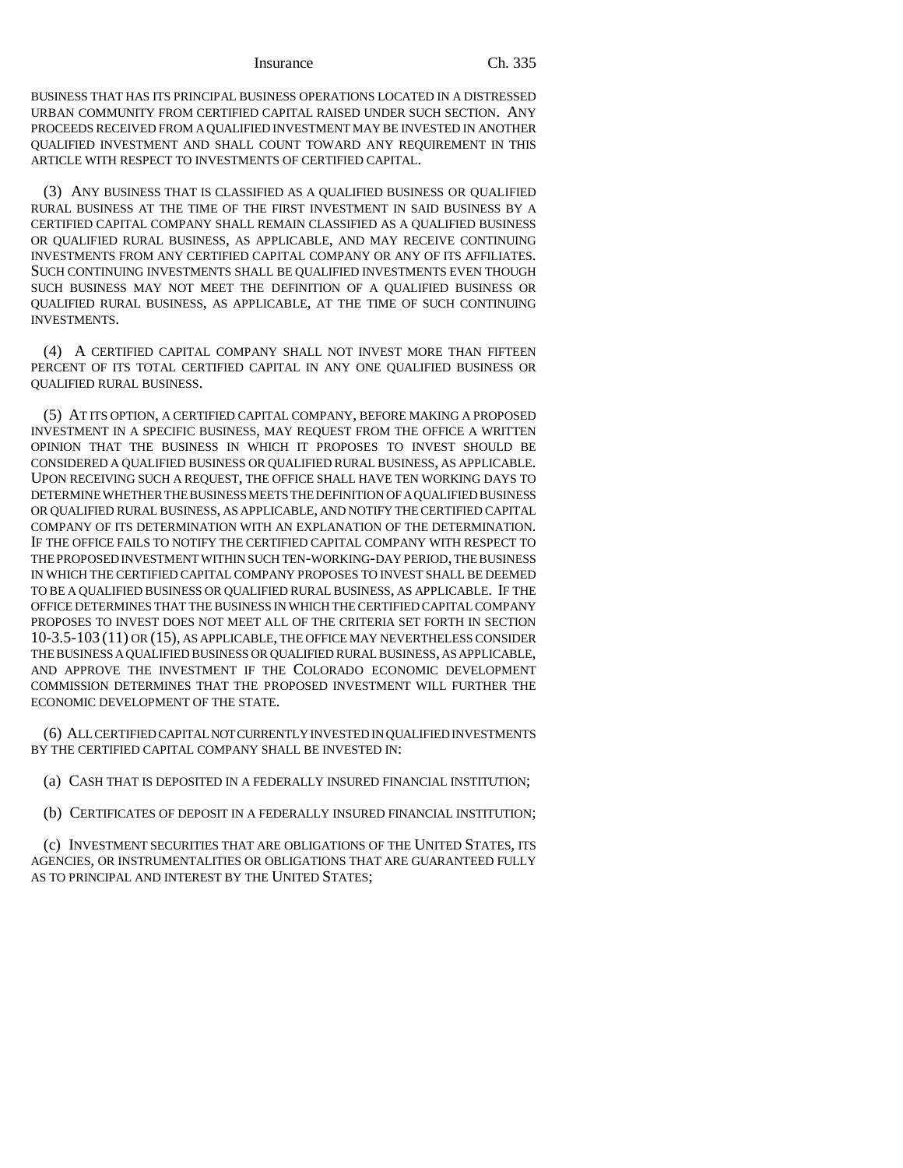BUSINESS THAT HAS ITS PRINCIPAL BUSINESS OPERATIONS LOCATED IN A DISTRESSED URBAN COMMUNITY FROM CERTIFIED CAPITAL RAISED UNDER SUCH SECTION. ANY PROCEEDS RECEIVED FROM A QUALIFIED INVESTMENT MAY BE INVESTED IN ANOTHER QUALIFIED INVESTMENT AND SHALL COUNT TOWARD ANY REQUIREMENT IN THIS ARTICLE WITH RESPECT TO INVESTMENTS OF CERTIFIED CAPITAL.

(3) ANY BUSINESS THAT IS CLASSIFIED AS A QUALIFIED BUSINESS OR QUALIFIED RURAL BUSINESS AT THE TIME OF THE FIRST INVESTMENT IN SAID BUSINESS BY A CERTIFIED CAPITAL COMPANY SHALL REMAIN CLASSIFIED AS A QUALIFIED BUSINESS OR QUALIFIED RURAL BUSINESS, AS APPLICABLE, AND MAY RECEIVE CONTINUING INVESTMENTS FROM ANY CERTIFIED CAPITAL COMPANY OR ANY OF ITS AFFILIATES. SUCH CONTINUING INVESTMENTS SHALL BE QUALIFIED INVESTMENTS EVEN THOUGH SUCH BUSINESS MAY NOT MEET THE DEFINITION OF A QUALIFIED BUSINESS OR QUALIFIED RURAL BUSINESS, AS APPLICABLE, AT THE TIME OF SUCH CONTINUING INVESTMENTS.

(4) A CERTIFIED CAPITAL COMPANY SHALL NOT INVEST MORE THAN FIFTEEN PERCENT OF ITS TOTAL CERTIFIED CAPITAL IN ANY ONE QUALIFIED BUSINESS OR QUALIFIED RURAL BUSINESS.

(5) AT ITS OPTION, A CERTIFIED CAPITAL COMPANY, BEFORE MAKING A PROPOSED INVESTMENT IN A SPECIFIC BUSINESS, MAY REQUEST FROM THE OFFICE A WRITTEN OPINION THAT THE BUSINESS IN WHICH IT PROPOSES TO INVEST SHOULD BE CONSIDERED A QUALIFIED BUSINESS OR QUALIFIED RURAL BUSINESS, AS APPLICABLE. UPON RECEIVING SUCH A REQUEST, THE OFFICE SHALL HAVE TEN WORKING DAYS TO DETERMINE WHETHER THE BUSINESS MEETS THE DEFINITION OF A QUALIFIED BUSINESS OR QUALIFIED RURAL BUSINESS, AS APPLICABLE, AND NOTIFY THE CERTIFIED CAPITAL COMPANY OF ITS DETERMINATION WITH AN EXPLANATION OF THE DETERMINATION. IF THE OFFICE FAILS TO NOTIFY THE CERTIFIED CAPITAL COMPANY WITH RESPECT TO THE PROPOSED INVESTMENT WITHIN SUCH TEN-WORKING-DAY PERIOD, THE BUSINESS IN WHICH THE CERTIFIED CAPITAL COMPANY PROPOSES TO INVEST SHALL BE DEEMED TO BE A QUALIFIED BUSINESS OR QUALIFIED RURAL BUSINESS, AS APPLICABLE. IF THE OFFICE DETERMINES THAT THE BUSINESS IN WHICH THE CERTIFIED CAPITAL COMPANY PROPOSES TO INVEST DOES NOT MEET ALL OF THE CRITERIA SET FORTH IN SECTION 10-3.5-103 (11) OR (15), AS APPLICABLE, THE OFFICE MAY NEVERTHELESS CONSIDER THE BUSINESS A QUALIFIED BUSINESS OR QUALIFIED RURAL BUSINESS, AS APPLICABLE, AND APPROVE THE INVESTMENT IF THE COLORADO ECONOMIC DEVELOPMENT COMMISSION DETERMINES THAT THE PROPOSED INVESTMENT WILL FURTHER THE ECONOMIC DEVELOPMENT OF THE STATE.

(6) ALL CERTIFIED CAPITAL NOT CURRENTLY INVESTED IN QUALIFIED INVESTMENTS BY THE CERTIFIED CAPITAL COMPANY SHALL BE INVESTED IN:

(a) CASH THAT IS DEPOSITED IN A FEDERALLY INSURED FINANCIAL INSTITUTION;

(b) CERTIFICATES OF DEPOSIT IN A FEDERALLY INSURED FINANCIAL INSTITUTION;

(c) INVESTMENT SECURITIES THAT ARE OBLIGATIONS OF THE UNITED STATES, ITS AGENCIES, OR INSTRUMENTALITIES OR OBLIGATIONS THAT ARE GUARANTEED FULLY AS TO PRINCIPAL AND INTEREST BY THE UNITED STATES;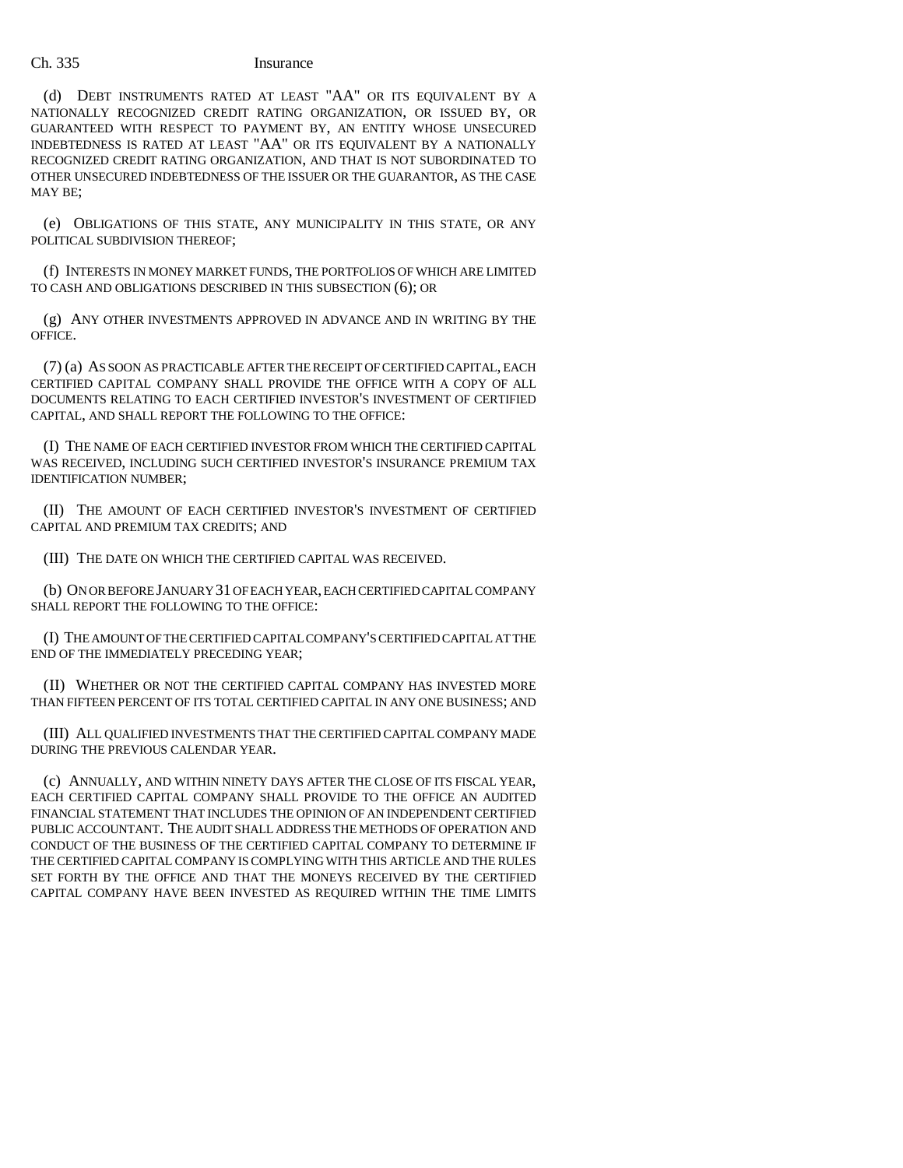(d) DEBT INSTRUMENTS RATED AT LEAST "AA" OR ITS EQUIVALENT BY A NATIONALLY RECOGNIZED CREDIT RATING ORGANIZATION, OR ISSUED BY, OR GUARANTEED WITH RESPECT TO PAYMENT BY, AN ENTITY WHOSE UNSECURED INDEBTEDNESS IS RATED AT LEAST "AA" OR ITS EQUIVALENT BY A NATIONALLY RECOGNIZED CREDIT RATING ORGANIZATION, AND THAT IS NOT SUBORDINATED TO OTHER UNSECURED INDEBTEDNESS OF THE ISSUER OR THE GUARANTOR, AS THE CASE MAY BE;

(e) OBLIGATIONS OF THIS STATE, ANY MUNICIPALITY IN THIS STATE, OR ANY POLITICAL SUBDIVISION THEREOF;

(f) INTERESTS IN MONEY MARKET FUNDS, THE PORTFOLIOS OF WHICH ARE LIMITED TO CASH AND OBLIGATIONS DESCRIBED IN THIS SUBSECTION (6); OR

(g) ANY OTHER INVESTMENTS APPROVED IN ADVANCE AND IN WRITING BY THE OFFICE.

(7) (a) AS SOON AS PRACTICABLE AFTER THE RECEIPT OF CERTIFIED CAPITAL, EACH CERTIFIED CAPITAL COMPANY SHALL PROVIDE THE OFFICE WITH A COPY OF ALL DOCUMENTS RELATING TO EACH CERTIFIED INVESTOR'S INVESTMENT OF CERTIFIED CAPITAL, AND SHALL REPORT THE FOLLOWING TO THE OFFICE:

(I) THE NAME OF EACH CERTIFIED INVESTOR FROM WHICH THE CERTIFIED CAPITAL WAS RECEIVED, INCLUDING SUCH CERTIFIED INVESTOR'S INSURANCE PREMIUM TAX IDENTIFICATION NUMBER;

(II) THE AMOUNT OF EACH CERTIFIED INVESTOR'S INVESTMENT OF CERTIFIED CAPITAL AND PREMIUM TAX CREDITS; AND

(III) THE DATE ON WHICH THE CERTIFIED CAPITAL WAS RECEIVED.

(b) ON OR BEFORE JANUARY 31 OF EACH YEAR, EACH CERTIFIED CAPITAL COMPANY SHALL REPORT THE FOLLOWING TO THE OFFICE:

(I) THE AMOUNT OF THE CERTIFIED CAPITAL COMPANY'S CERTIFIED CAPITAL AT THE END OF THE IMMEDIATELY PRECEDING YEAR;

(II) WHETHER OR NOT THE CERTIFIED CAPITAL COMPANY HAS INVESTED MORE THAN FIFTEEN PERCENT OF ITS TOTAL CERTIFIED CAPITAL IN ANY ONE BUSINESS; AND

(III) ALL QUALIFIED INVESTMENTS THAT THE CERTIFIED CAPITAL COMPANY MADE DURING THE PREVIOUS CALENDAR YEAR.

(c) ANNUALLY, AND WITHIN NINETY DAYS AFTER THE CLOSE OF ITS FISCAL YEAR, EACH CERTIFIED CAPITAL COMPANY SHALL PROVIDE TO THE OFFICE AN AUDITED FINANCIAL STATEMENT THAT INCLUDES THE OPINION OF AN INDEPENDENT CERTIFIED PUBLIC ACCOUNTANT. THE AUDIT SHALL ADDRESS THE METHODS OF OPERATION AND CONDUCT OF THE BUSINESS OF THE CERTIFIED CAPITAL COMPANY TO DETERMINE IF THE CERTIFIED CAPITAL COMPANY IS COMPLYING WITH THIS ARTICLE AND THE RULES SET FORTH BY THE OFFICE AND THAT THE MONEYS RECEIVED BY THE CERTIFIED CAPITAL COMPANY HAVE BEEN INVESTED AS REQUIRED WITHIN THE TIME LIMITS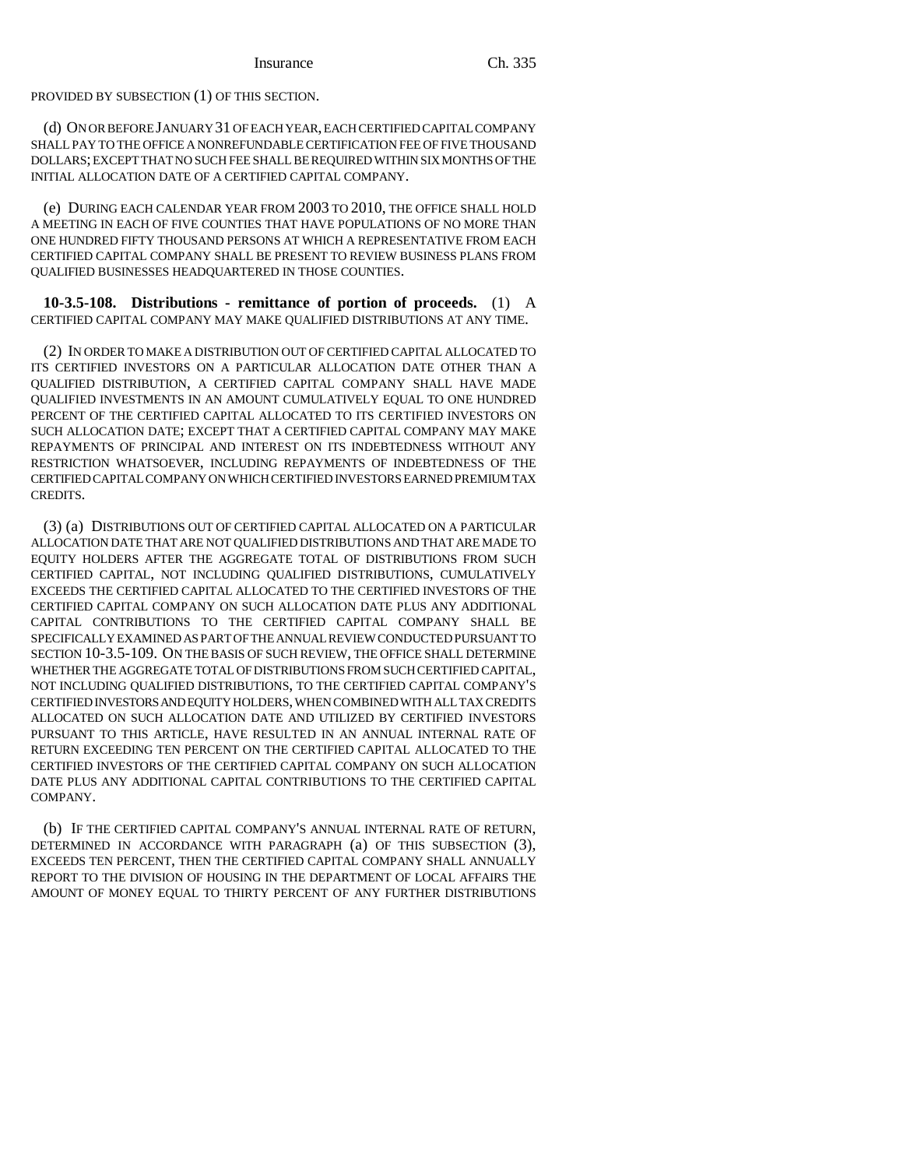PROVIDED BY SUBSECTION (1) OF THIS SECTION.

(d) ON OR BEFORE JANUARY 31 OF EACH YEAR, EACH CERTIFIED CAPITAL COMPANY SHALL PAY TO THE OFFICE A NONREFUNDABLE CERTIFICATION FEE OF FIVE THOUSAND DOLLARS; EXCEPT THAT NO SUCH FEE SHALL BE REQUIRED WITHIN SIX MONTHS OF THE INITIAL ALLOCATION DATE OF A CERTIFIED CAPITAL COMPANY.

(e) DURING EACH CALENDAR YEAR FROM 2003 TO 2010, THE OFFICE SHALL HOLD A MEETING IN EACH OF FIVE COUNTIES THAT HAVE POPULATIONS OF NO MORE THAN ONE HUNDRED FIFTY THOUSAND PERSONS AT WHICH A REPRESENTATIVE FROM EACH CERTIFIED CAPITAL COMPANY SHALL BE PRESENT TO REVIEW BUSINESS PLANS FROM QUALIFIED BUSINESSES HEADQUARTERED IN THOSE COUNTIES.

**10-3.5-108. Distributions - remittance of portion of proceeds.** (1) A CERTIFIED CAPITAL COMPANY MAY MAKE QUALIFIED DISTRIBUTIONS AT ANY TIME.

(2) IN ORDER TO MAKE A DISTRIBUTION OUT OF CERTIFIED CAPITAL ALLOCATED TO ITS CERTIFIED INVESTORS ON A PARTICULAR ALLOCATION DATE OTHER THAN A QUALIFIED DISTRIBUTION, A CERTIFIED CAPITAL COMPANY SHALL HAVE MADE QUALIFIED INVESTMENTS IN AN AMOUNT CUMULATIVELY EQUAL TO ONE HUNDRED PERCENT OF THE CERTIFIED CAPITAL ALLOCATED TO ITS CERTIFIED INVESTORS ON SUCH ALLOCATION DATE; EXCEPT THAT A CERTIFIED CAPITAL COMPANY MAY MAKE REPAYMENTS OF PRINCIPAL AND INTEREST ON ITS INDEBTEDNESS WITHOUT ANY RESTRICTION WHATSOEVER, INCLUDING REPAYMENTS OF INDEBTEDNESS OF THE CERTIFIED CAPITAL COMPANY ON WHICH CERTIFIED INVESTORS EARNED PREMIUM TAX CREDITS.

(3) (a) DISTRIBUTIONS OUT OF CERTIFIED CAPITAL ALLOCATED ON A PARTICULAR ALLOCATION DATE THAT ARE NOT QUALIFIED DISTRIBUTIONS AND THAT ARE MADE TO EQUITY HOLDERS AFTER THE AGGREGATE TOTAL OF DISTRIBUTIONS FROM SUCH CERTIFIED CAPITAL, NOT INCLUDING QUALIFIED DISTRIBUTIONS, CUMULATIVELY EXCEEDS THE CERTIFIED CAPITAL ALLOCATED TO THE CERTIFIED INVESTORS OF THE CERTIFIED CAPITAL COMPANY ON SUCH ALLOCATION DATE PLUS ANY ADDITIONAL CAPITAL CONTRIBUTIONS TO THE CERTIFIED CAPITAL COMPANY SHALL BE SPECIFICALLY EXAMINED AS PART OF THE ANNUAL REVIEW CONDUCTED PURSUANT TO SECTION 10-3.5-109. ON THE BASIS OF SUCH REVIEW, THE OFFICE SHALL DETERMINE WHETHER THE AGGREGATE TOTAL OF DISTRIBUTIONS FROM SUCH CERTIFIED CAPITAL, NOT INCLUDING QUALIFIED DISTRIBUTIONS, TO THE CERTIFIED CAPITAL COMPANY'S CERTIFIED INVESTORS AND EQUITY HOLDERS, WHEN COMBINED WITH ALL TAX CREDITS ALLOCATED ON SUCH ALLOCATION DATE AND UTILIZED BY CERTIFIED INVESTORS PURSUANT TO THIS ARTICLE, HAVE RESULTED IN AN ANNUAL INTERNAL RATE OF RETURN EXCEEDING TEN PERCENT ON THE CERTIFIED CAPITAL ALLOCATED TO THE CERTIFIED INVESTORS OF THE CERTIFIED CAPITAL COMPANY ON SUCH ALLOCATION DATE PLUS ANY ADDITIONAL CAPITAL CONTRIBUTIONS TO THE CERTIFIED CAPITAL COMPANY.

(b) IF THE CERTIFIED CAPITAL COMPANY'S ANNUAL INTERNAL RATE OF RETURN, DETERMINED IN ACCORDANCE WITH PARAGRAPH (a) OF THIS SUBSECTION (3), EXCEEDS TEN PERCENT, THEN THE CERTIFIED CAPITAL COMPANY SHALL ANNUALLY REPORT TO THE DIVISION OF HOUSING IN THE DEPARTMENT OF LOCAL AFFAIRS THE AMOUNT OF MONEY EQUAL TO THIRTY PERCENT OF ANY FURTHER DISTRIBUTIONS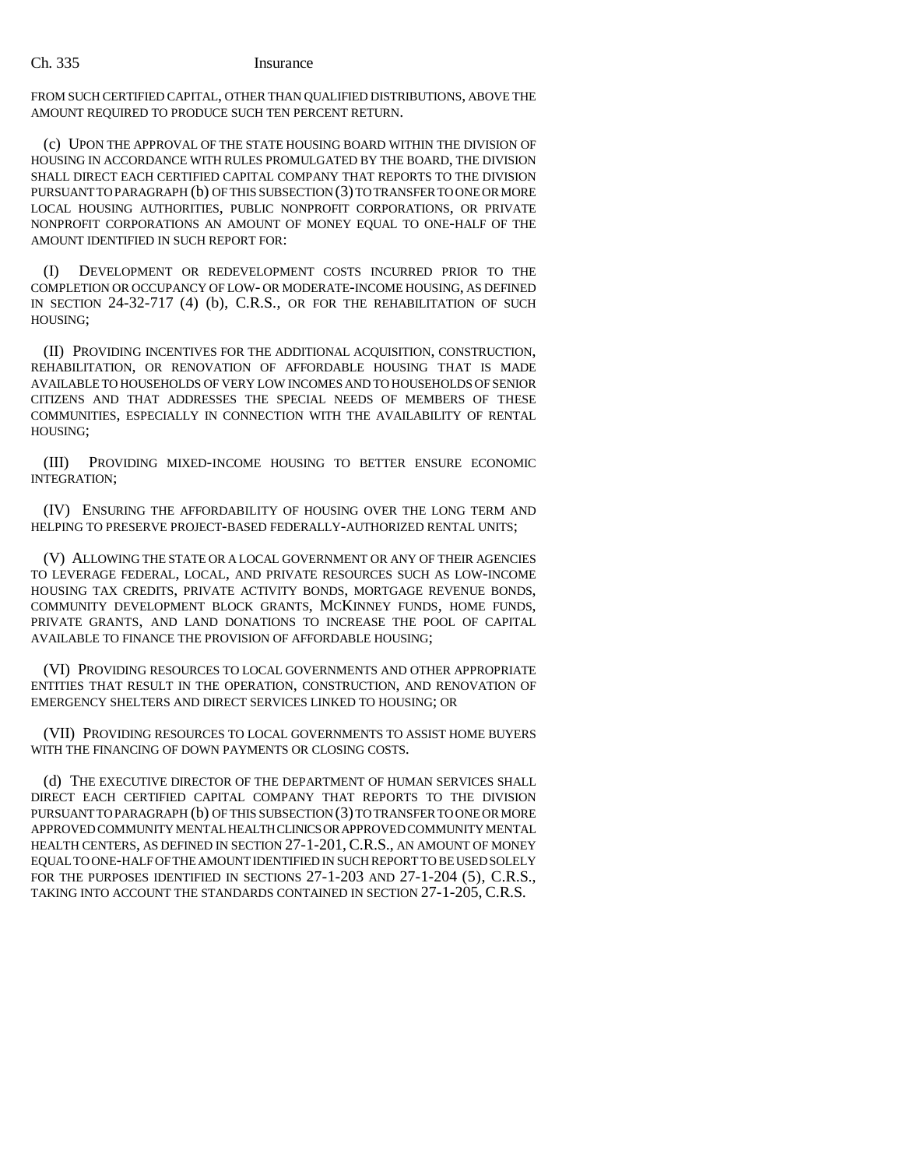FROM SUCH CERTIFIED CAPITAL, OTHER THAN QUALIFIED DISTRIBUTIONS, ABOVE THE AMOUNT REQUIRED TO PRODUCE SUCH TEN PERCENT RETURN.

(c) UPON THE APPROVAL OF THE STATE HOUSING BOARD WITHIN THE DIVISION OF HOUSING IN ACCORDANCE WITH RULES PROMULGATED BY THE BOARD, THE DIVISION SHALL DIRECT EACH CERTIFIED CAPITAL COMPANY THAT REPORTS TO THE DIVISION PURSUANT TO PARAGRAPH (b) OF THIS SUBSECTION (3) TO TRANSFER TO ONE OR MORE LOCAL HOUSING AUTHORITIES, PUBLIC NONPROFIT CORPORATIONS, OR PRIVATE NONPROFIT CORPORATIONS AN AMOUNT OF MONEY EQUAL TO ONE-HALF OF THE AMOUNT IDENTIFIED IN SUCH REPORT FOR:

(I) DEVELOPMENT OR REDEVELOPMENT COSTS INCURRED PRIOR TO THE COMPLETION OR OCCUPANCY OF LOW- OR MODERATE-INCOME HOUSING, AS DEFINED IN SECTION 24-32-717 (4) (b), C.R.S., OR FOR THE REHABILITATION OF SUCH HOUSING;

(II) PROVIDING INCENTIVES FOR THE ADDITIONAL ACQUISITION, CONSTRUCTION, REHABILITATION, OR RENOVATION OF AFFORDABLE HOUSING THAT IS MADE AVAILABLE TO HOUSEHOLDS OF VERY LOW INCOMES AND TO HOUSEHOLDS OF SENIOR CITIZENS AND THAT ADDRESSES THE SPECIAL NEEDS OF MEMBERS OF THESE COMMUNITIES, ESPECIALLY IN CONNECTION WITH THE AVAILABILITY OF RENTAL HOUSING;

(III) PROVIDING MIXED-INCOME HOUSING TO BETTER ENSURE ECONOMIC INTEGRATION;

(IV) ENSURING THE AFFORDABILITY OF HOUSING OVER THE LONG TERM AND HELPING TO PRESERVE PROJECT-BASED FEDERALLY-AUTHORIZED RENTAL UNITS;

(V) ALLOWING THE STATE OR A LOCAL GOVERNMENT OR ANY OF THEIR AGENCIES TO LEVERAGE FEDERAL, LOCAL, AND PRIVATE RESOURCES SUCH AS LOW-INCOME HOUSING TAX CREDITS, PRIVATE ACTIVITY BONDS, MORTGAGE REVENUE BONDS, COMMUNITY DEVELOPMENT BLOCK GRANTS, MCKINNEY FUNDS, HOME FUNDS, PRIVATE GRANTS, AND LAND DONATIONS TO INCREASE THE POOL OF CAPITAL AVAILABLE TO FINANCE THE PROVISION OF AFFORDABLE HOUSING;

(VI) PROVIDING RESOURCES TO LOCAL GOVERNMENTS AND OTHER APPROPRIATE ENTITIES THAT RESULT IN THE OPERATION, CONSTRUCTION, AND RENOVATION OF EMERGENCY SHELTERS AND DIRECT SERVICES LINKED TO HOUSING; OR

(VII) PROVIDING RESOURCES TO LOCAL GOVERNMENTS TO ASSIST HOME BUYERS WITH THE FINANCING OF DOWN PAYMENTS OR CLOSING COSTS.

(d) THE EXECUTIVE DIRECTOR OF THE DEPARTMENT OF HUMAN SERVICES SHALL DIRECT EACH CERTIFIED CAPITAL COMPANY THAT REPORTS TO THE DIVISION PURSUANT TO PARAGRAPH (b) OF THIS SUBSECTION (3) TO TRANSFER TO ONE OR MORE APPROVED COMMUNITY MENTAL HEALTH CLINICS OR APPROVED COMMUNITY MENTAL HEALTH CENTERS, AS DEFINED IN SECTION 27-1-201, C.R.S., AN AMOUNT OF MONEY EQUAL TO ONE-HALF OF THE AMOUNT IDENTIFIED IN SUCH REPORT TO BE USED SOLELY FOR THE PURPOSES IDENTIFIED IN SECTIONS 27-1-203 AND 27-1-204 (5), C.R.S., TAKING INTO ACCOUNT THE STANDARDS CONTAINED IN SECTION 27-1-205, C.R.S.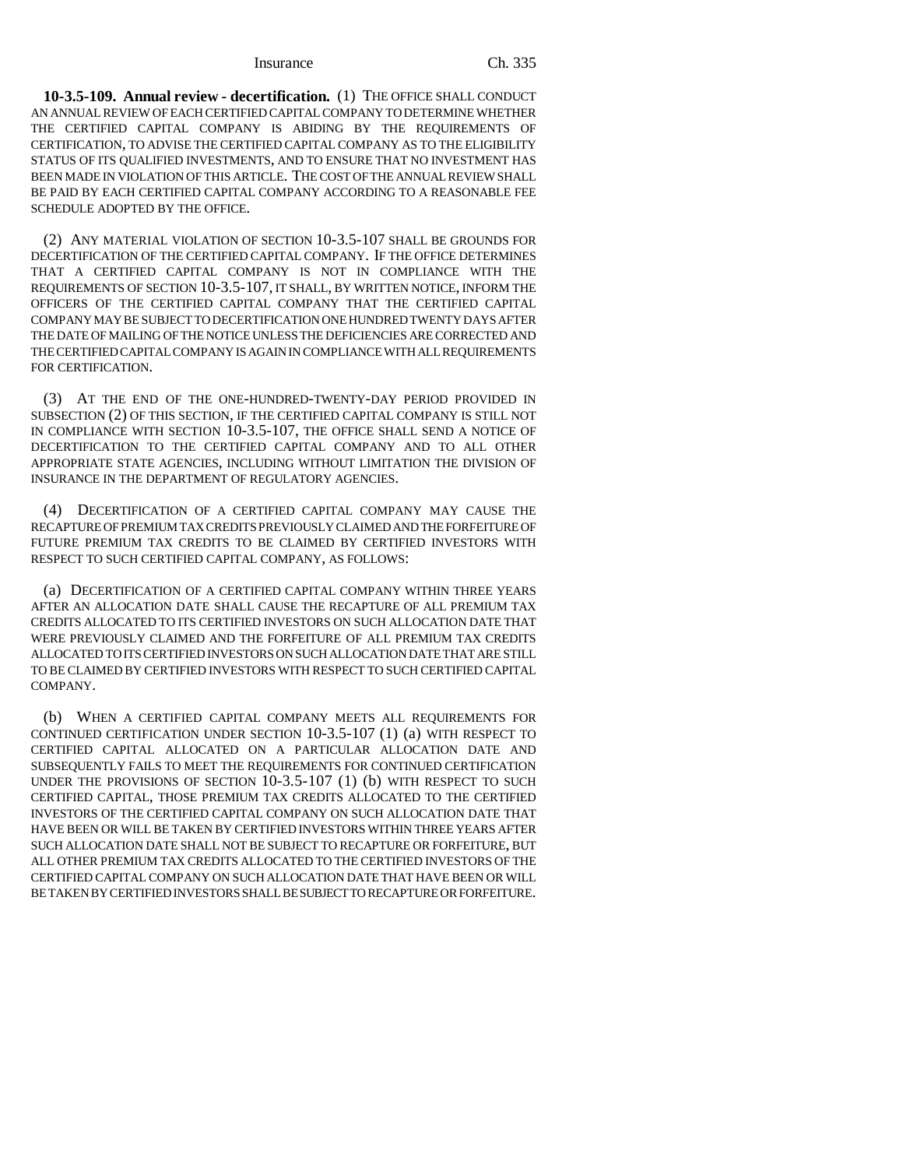**10-3.5-109. Annual review - decertification.** (1) THE OFFICE SHALL CONDUCT AN ANNUAL REVIEW OF EACH CERTIFIED CAPITAL COMPANY TO DETERMINE WHETHER THE CERTIFIED CAPITAL COMPANY IS ABIDING BY THE REQUIREMENTS OF CERTIFICATION, TO ADVISE THE CERTIFIED CAPITAL COMPANY AS TO THE ELIGIBILITY STATUS OF ITS QUALIFIED INVESTMENTS, AND TO ENSURE THAT NO INVESTMENT HAS BEEN MADE IN VIOLATION OF THIS ARTICLE. THE COST OF THE ANNUAL REVIEW SHALL BE PAID BY EACH CERTIFIED CAPITAL COMPANY ACCORDING TO A REASONABLE FEE SCHEDULE ADOPTED BY THE OFFICE.

(2) ANY MATERIAL VIOLATION OF SECTION 10-3.5-107 SHALL BE GROUNDS FOR DECERTIFICATION OF THE CERTIFIED CAPITAL COMPANY. IF THE OFFICE DETERMINES THAT A CERTIFIED CAPITAL COMPANY IS NOT IN COMPLIANCE WITH THE REQUIREMENTS OF SECTION 10-3.5-107, IT SHALL, BY WRITTEN NOTICE, INFORM THE OFFICERS OF THE CERTIFIED CAPITAL COMPANY THAT THE CERTIFIED CAPITAL COMPANY MAY BE SUBJECT TO DECERTIFICATION ONE HUNDRED TWENTY DAYS AFTER THE DATE OF MAILING OF THE NOTICE UNLESS THE DEFICIENCIES ARE CORRECTED AND THE CERTIFIED CAPITAL COMPANY IS AGAIN IN COMPLIANCE WITH ALL REQUIREMENTS FOR CERTIFICATION.

(3) AT THE END OF THE ONE-HUNDRED-TWENTY-DAY PERIOD PROVIDED IN SUBSECTION (2) OF THIS SECTION, IF THE CERTIFIED CAPITAL COMPANY IS STILL NOT IN COMPLIANCE WITH SECTION 10-3.5-107, THE OFFICE SHALL SEND A NOTICE OF DECERTIFICATION TO THE CERTIFIED CAPITAL COMPANY AND TO ALL OTHER APPROPRIATE STATE AGENCIES, INCLUDING WITHOUT LIMITATION THE DIVISION OF INSURANCE IN THE DEPARTMENT OF REGULATORY AGENCIES.

(4) DECERTIFICATION OF A CERTIFIED CAPITAL COMPANY MAY CAUSE THE RECAPTURE OF PREMIUM TAX CREDITS PREVIOUSLY CLAIMED AND THE FORFEITURE OF FUTURE PREMIUM TAX CREDITS TO BE CLAIMED BY CERTIFIED INVESTORS WITH RESPECT TO SUCH CERTIFIED CAPITAL COMPANY, AS FOLLOWS:

(a) DECERTIFICATION OF A CERTIFIED CAPITAL COMPANY WITHIN THREE YEARS AFTER AN ALLOCATION DATE SHALL CAUSE THE RECAPTURE OF ALL PREMIUM TAX CREDITS ALLOCATED TO ITS CERTIFIED INVESTORS ON SUCH ALLOCATION DATE THAT WERE PREVIOUSLY CLAIMED AND THE FORFEITURE OF ALL PREMIUM TAX CREDITS ALLOCATED TO ITS CERTIFIED INVESTORS ON SUCH ALLOCATION DATE THAT ARE STILL TO BE CLAIMED BY CERTIFIED INVESTORS WITH RESPECT TO SUCH CERTIFIED CAPITAL COMPANY.

(b) WHEN A CERTIFIED CAPITAL COMPANY MEETS ALL REQUIREMENTS FOR CONTINUED CERTIFICATION UNDER SECTION 10-3.5-107 (1) (a) WITH RESPECT TO CERTIFIED CAPITAL ALLOCATED ON A PARTICULAR ALLOCATION DATE AND SUBSEQUENTLY FAILS TO MEET THE REQUIREMENTS FOR CONTINUED CERTIFICATION UNDER THE PROVISIONS OF SECTION 10-3.5-107 (1) (b) WITH RESPECT TO SUCH CERTIFIED CAPITAL, THOSE PREMIUM TAX CREDITS ALLOCATED TO THE CERTIFIED INVESTORS OF THE CERTIFIED CAPITAL COMPANY ON SUCH ALLOCATION DATE THAT HAVE BEEN OR WILL BE TAKEN BY CERTIFIED INVESTORS WITHIN THREE YEARS AFTER SUCH ALLOCATION DATE SHALL NOT BE SUBJECT TO RECAPTURE OR FORFEITURE, BUT ALL OTHER PREMIUM TAX CREDITS ALLOCATED TO THE CERTIFIED INVESTORS OF THE CERTIFIED CAPITAL COMPANY ON SUCH ALLOCATION DATE THAT HAVE BEEN OR WILL BE TAKEN BY CERTIFIED INVESTORS SHALL BE SUBJECT TO RECAPTURE OR FORFEITURE.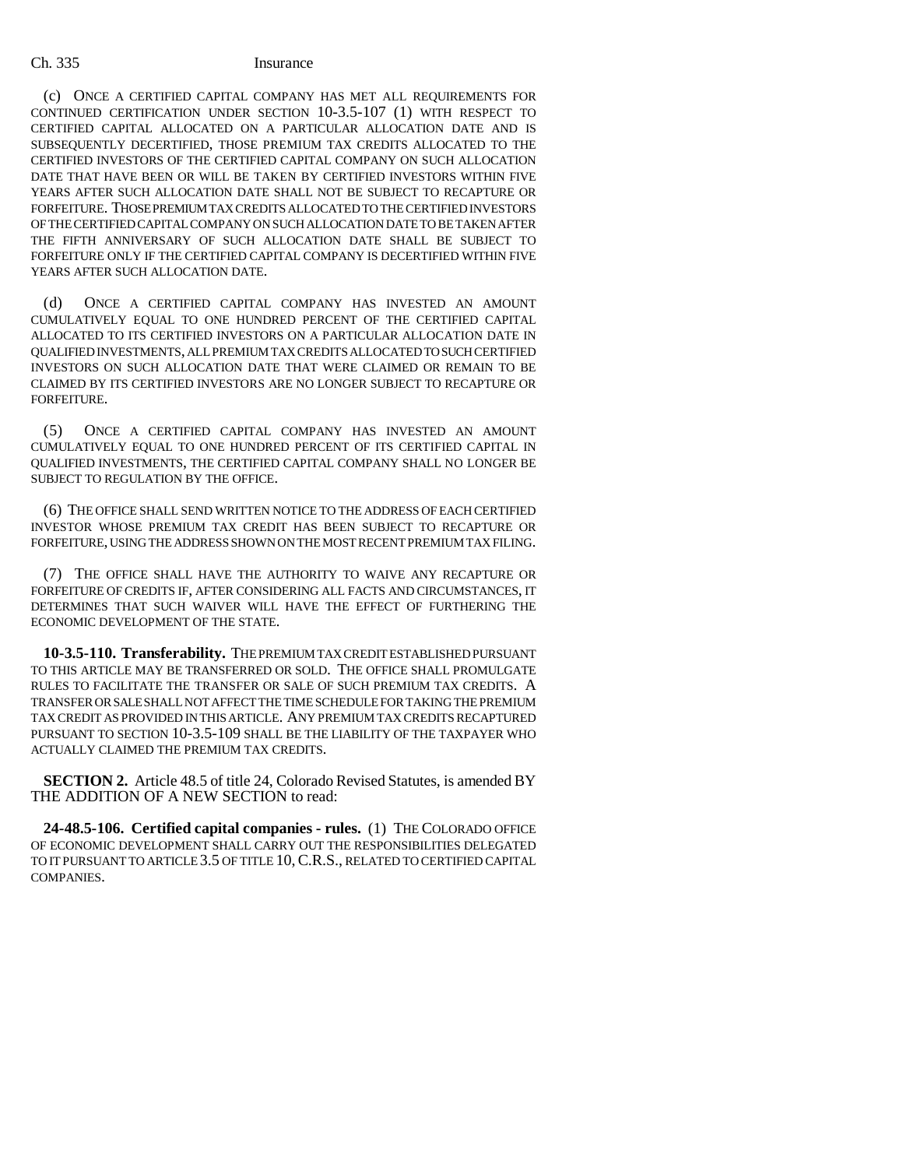(c) ONCE A CERTIFIED CAPITAL COMPANY HAS MET ALL REQUIREMENTS FOR CONTINUED CERTIFICATION UNDER SECTION 10-3.5-107 (1) WITH RESPECT TO CERTIFIED CAPITAL ALLOCATED ON A PARTICULAR ALLOCATION DATE AND IS SUBSEQUENTLY DECERTIFIED, THOSE PREMIUM TAX CREDITS ALLOCATED TO THE CERTIFIED INVESTORS OF THE CERTIFIED CAPITAL COMPANY ON SUCH ALLOCATION DATE THAT HAVE BEEN OR WILL BE TAKEN BY CERTIFIED INVESTORS WITHIN FIVE YEARS AFTER SUCH ALLOCATION DATE SHALL NOT BE SUBJECT TO RECAPTURE OR FORFEITURE. THOSE PREMIUM TAX CREDITS ALLOCATED TO THE CERTIFIED INVESTORS OF THE CERTIFIED CAPITAL COMPANY ON SUCH ALLOCATION DATE TO BE TAKEN AFTER THE FIFTH ANNIVERSARY OF SUCH ALLOCATION DATE SHALL BE SUBJECT TO FORFEITURE ONLY IF THE CERTIFIED CAPITAL COMPANY IS DECERTIFIED WITHIN FIVE YEARS AFTER SUCH ALLOCATION DATE.

(d) ONCE A CERTIFIED CAPITAL COMPANY HAS INVESTED AN AMOUNT CUMULATIVELY EQUAL TO ONE HUNDRED PERCENT OF THE CERTIFIED CAPITAL ALLOCATED TO ITS CERTIFIED INVESTORS ON A PARTICULAR ALLOCATION DATE IN QUALIFIED INVESTMENTS, ALL PREMIUM TAX CREDITS ALLOCATED TO SUCH CERTIFIED INVESTORS ON SUCH ALLOCATION DATE THAT WERE CLAIMED OR REMAIN TO BE CLAIMED BY ITS CERTIFIED INVESTORS ARE NO LONGER SUBJECT TO RECAPTURE OR FORFEITURE.

(5) ONCE A CERTIFIED CAPITAL COMPANY HAS INVESTED AN AMOUNT CUMULATIVELY EQUAL TO ONE HUNDRED PERCENT OF ITS CERTIFIED CAPITAL IN QUALIFIED INVESTMENTS, THE CERTIFIED CAPITAL COMPANY SHALL NO LONGER BE SUBJECT TO REGULATION BY THE OFFICE.

(6) THE OFFICE SHALL SEND WRITTEN NOTICE TO THE ADDRESS OF EACH CERTIFIED INVESTOR WHOSE PREMIUM TAX CREDIT HAS BEEN SUBJECT TO RECAPTURE OR FORFEITURE, USING THE ADDRESS SHOWN ON THE MOST RECENT PREMIUM TAX FILING.

(7) THE OFFICE SHALL HAVE THE AUTHORITY TO WAIVE ANY RECAPTURE OR FORFEITURE OF CREDITS IF, AFTER CONSIDERING ALL FACTS AND CIRCUMSTANCES, IT DETERMINES THAT SUCH WAIVER WILL HAVE THE EFFECT OF FURTHERING THE ECONOMIC DEVELOPMENT OF THE STATE.

**10-3.5-110. Transferability.** THE PREMIUM TAX CREDIT ESTABLISHED PURSUANT TO THIS ARTICLE MAY BE TRANSFERRED OR SOLD. THE OFFICE SHALL PROMULGATE RULES TO FACILITATE THE TRANSFER OR SALE OF SUCH PREMIUM TAX CREDITS. A TRANSFER OR SALE SHALL NOT AFFECT THE TIME SCHEDULE FOR TAKING THE PREMIUM TAX CREDIT AS PROVIDED IN THIS ARTICLE. ANY PREMIUM TAX CREDITS RECAPTURED PURSUANT TO SECTION 10-3.5-109 SHALL BE THE LIABILITY OF THE TAXPAYER WHO ACTUALLY CLAIMED THE PREMIUM TAX CREDITS.

**SECTION 2.** Article 48.5 of title 24, Colorado Revised Statutes, is amended BY THE ADDITION OF A NEW SECTION to read:

**24-48.5-106. Certified capital companies - rules.** (1) THE COLORADO OFFICE OF ECONOMIC DEVELOPMENT SHALL CARRY OUT THE RESPONSIBILITIES DELEGATED TO IT PURSUANT TO ARTICLE 3.5 OF TITLE 10,C.R.S., RELATED TO CERTIFIED CAPITAL COMPANIES.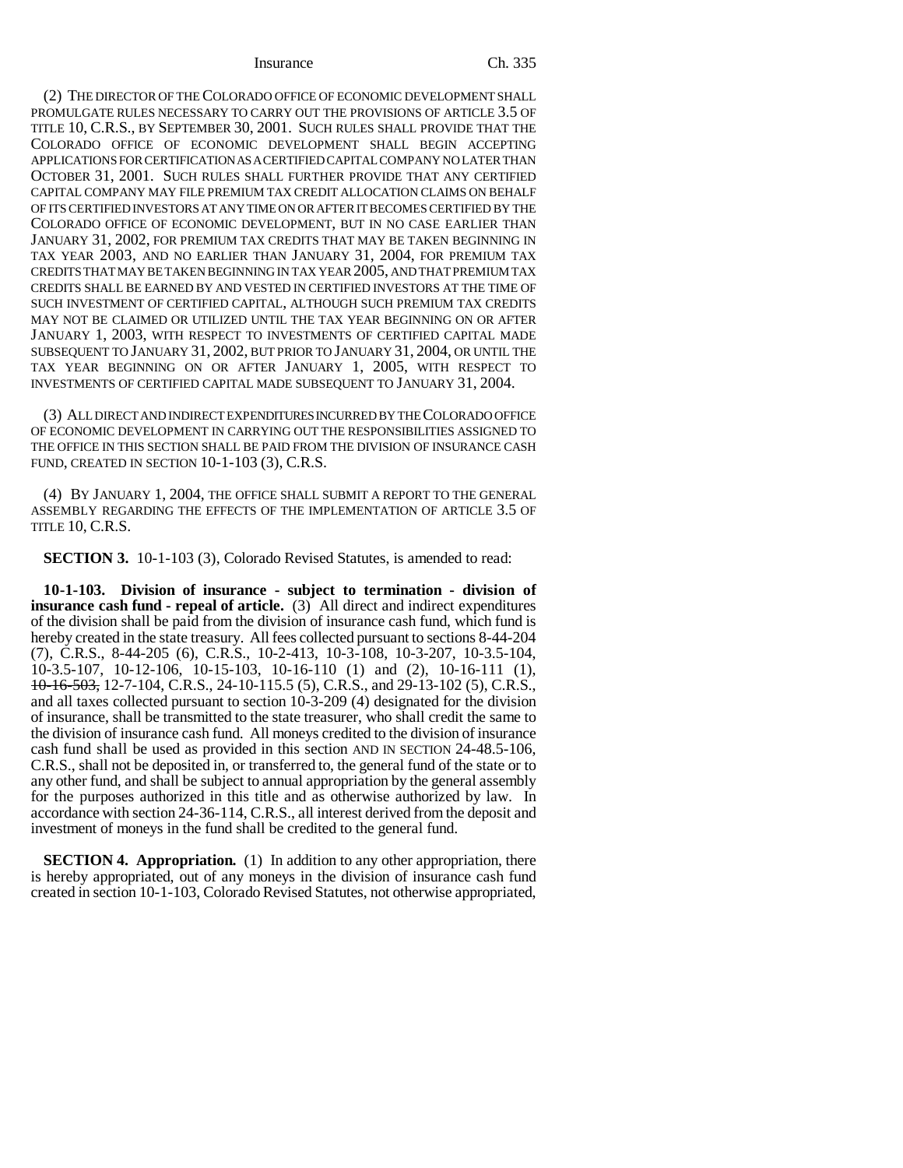(2) THE DIRECTOR OF THE COLORADO OFFICE OF ECONOMIC DEVELOPMENT SHALL PROMULGATE RULES NECESSARY TO CARRY OUT THE PROVISIONS OF ARTICLE 3.5 OF TITLE 10, C.R.S., BY SEPTEMBER 30, 2001. SUCH RULES SHALL PROVIDE THAT THE COLORADO OFFICE OF ECONOMIC DEVELOPMENT SHALL BEGIN ACCEPTING APPLICATIONS FOR CERTIFICATION AS A CERTIFIED CAPITAL COMPANY NO LATER THAN OCTOBER 31, 2001. SUCH RULES SHALL FURTHER PROVIDE THAT ANY CERTIFIED CAPITAL COMPANY MAY FILE PREMIUM TAX CREDIT ALLOCATION CLAIMS ON BEHALF OF ITS CERTIFIED INVESTORS AT ANY TIME ON OR AFTER IT BECOMES CERTIFIED BY THE COLORADO OFFICE OF ECONOMIC DEVELOPMENT, BUT IN NO CASE EARLIER THAN JANUARY 31, 2002, FOR PREMIUM TAX CREDITS THAT MAY BE TAKEN BEGINNING IN TAX YEAR 2003, AND NO EARLIER THAN JANUARY 31, 2004, FOR PREMIUM TAX CREDITS THAT MAY BE TAKEN BEGINNING IN TAX YEAR 2005, AND THAT PREMIUM TAX CREDITS SHALL BE EARNED BY AND VESTED IN CERTIFIED INVESTORS AT THE TIME OF SUCH INVESTMENT OF CERTIFIED CAPITAL, ALTHOUGH SUCH PREMIUM TAX CREDITS MAY NOT BE CLAIMED OR UTILIZED UNTIL THE TAX YEAR BEGINNING ON OR AFTER JANUARY 1, 2003, WITH RESPECT TO INVESTMENTS OF CERTIFIED CAPITAL MADE SUBSEQUENT TO JANUARY 31, 2002, BUT PRIOR TO JANUARY 31, 2004, OR UNTIL THE TAX YEAR BEGINNING ON OR AFTER JANUARY 1, 2005, WITH RESPECT TO INVESTMENTS OF CERTIFIED CAPITAL MADE SUBSEQUENT TO JANUARY 31, 2004.

(3) ALL DIRECT AND INDIRECT EXPENDITURES INCURRED BY THE COLORADO OFFICE OF ECONOMIC DEVELOPMENT IN CARRYING OUT THE RESPONSIBILITIES ASSIGNED TO THE OFFICE IN THIS SECTION SHALL BE PAID FROM THE DIVISION OF INSURANCE CASH FUND, CREATED IN SECTION 10-1-103 (3), C.R.S.

(4) BY JANUARY 1, 2004, THE OFFICE SHALL SUBMIT A REPORT TO THE GENERAL ASSEMBLY REGARDING THE EFFECTS OF THE IMPLEMENTATION OF ARTICLE 3.5 OF TITLE 10, C.R.S.

**SECTION 3.** 10-1-103 (3), Colorado Revised Statutes, is amended to read:

**10-1-103. Division of insurance - subject to termination - division of insurance cash fund - repeal of article.** (3) All direct and indirect expenditures of the division shall be paid from the division of insurance cash fund, which fund is hereby created in the state treasury. All fees collected pursuant to sections 8-44-204 (7), C.R.S., 8-44-205 (6), C.R.S., 10-2-413, 10-3-108, 10-3-207, 10-3.5-104, 10-3.5-107, 10-12-106, 10-15-103, 10-16-110 (1) and (2), 10-16-111 (1), 10-16-503, 12-7-104, C.R.S., 24-10-115.5 (5), C.R.S., and 29-13-102 (5), C.R.S., and all taxes collected pursuant to section 10-3-209 (4) designated for the division of insurance, shall be transmitted to the state treasurer, who shall credit the same to the division of insurance cash fund. All moneys credited to the division of insurance cash fund shall be used as provided in this section AND IN SECTION 24-48.5-106, C.R.S., shall not be deposited in, or transferred to, the general fund of the state or to any other fund, and shall be subject to annual appropriation by the general assembly for the purposes authorized in this title and as otherwise authorized by law. In accordance with section 24-36-114, C.R.S., all interest derived from the deposit and investment of moneys in the fund shall be credited to the general fund.

**SECTION 4. Appropriation.** (1) In addition to any other appropriation, there is hereby appropriated, out of any moneys in the division of insurance cash fund created in section 10-1-103, Colorado Revised Statutes, not otherwise appropriated,